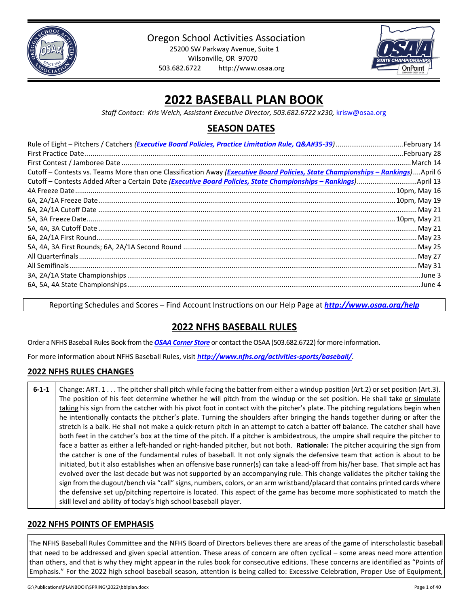

Oregon School Activities Association

25200 SW Parkway Avenue, Suite 1 Wilsonville, OR 97070 503.682.6722 http://www.osaa.org



# **2022 BASEBALL PLAN BOOK**

*Staff Contact: Kris Welch, Assistant Executive Director, 503.682.6722 x230,* krisw@osaa.org

# **SEASON DATES**

| Cutoff – Contests vs. Teams More than one Classification Away (Executive Board Policies, State Championships – Rankings)April 6 |
|---------------------------------------------------------------------------------------------------------------------------------|
|                                                                                                                                 |
|                                                                                                                                 |
|                                                                                                                                 |
|                                                                                                                                 |
|                                                                                                                                 |
|                                                                                                                                 |
|                                                                                                                                 |
|                                                                                                                                 |
|                                                                                                                                 |
|                                                                                                                                 |
|                                                                                                                                 |
|                                                                                                                                 |

Reporting Schedules and Scores – Find Account Instructions on our Help Page at *<http://www.osaa.org/help>*

# **2022 NFHS BASEBALL RULES**

Order a NFHS Baseball Rules Book from the *OSAA [Corner Store](http://www.osaa.org/governance/forms)* or contact the OSAA (503.682.6722) for more information.

For more information about NFHS Baseball Rules, visit *<http://www.nfhs.org/activities-sports/baseball/>*.

# **2022 NFHS RULES CHANGES**

**6-1-1** Change: ART. 1 . . . The pitcher shall pitch while facing the batter from either a windup position (Art.2) or set position (Art.3). The position of his feet determine whether he will pitch from the windup or the set position. He shall take or simulate taking his sign from the catcher with his pivot foot in contact with the pitcher's plate. The pitching regulations begin when he intentionally contacts the pitcher's plate. Turning the shoulders after bringing the hands together during or after the stretch is a balk. He shall not make a quick-return pitch in an attempt to catch a batter off balance. The catcher shall have both feet in the catcher's box at the time of the pitch. If a pitcher is ambidextrous, the umpire shall require the pitcher to face a batter as either a left-handed or right-handed pitcher, but not both. **Rationale:** The pitcher acquiring the sign from the catcher is one of the fundamental rules of baseball. It not only signals the defensive team that action is about to be initiated, but it also establishes when an offensive base runner(s) can take a lead-off from his/her base. That simple act has evolved over the last decade but was not supported by an accompanying rule. This change validates the pitcher taking the sign from the dugout/bench via "call" signs, numbers, colors, or an arm wristband/placard that contains printed cards where the defensive set up/pitching repertoire is located. This aspect of the game has become more sophisticated to match the skill level and ability of today's high school baseball player.

# **2022 NFHS POINTS OF EMPHASIS**

The NFHS Baseball Rules Committee and the NFHS Board of Directors believes there are areas of the game of interscholastic baseball that need to be addressed and given special attention. These areas of concern are often cyclical – some areas need more attention than others, and that is why they might appear in the rules book for consecutive editions. These concerns are identified as "Points of Emphasis." For the 2022 high school baseball season, attention is being called to: Excessive Celebration, Proper Use of Equipment,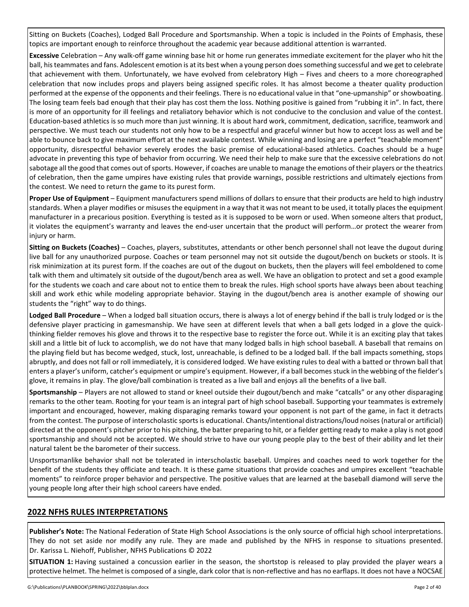Sitting on Buckets (Coaches), Lodged Ball Procedure and Sportsmanship. When a topic is included in the Points of Emphasis, these topics are important enough to reinforce throughout the academic year because additional attention is warranted.

**Excessive** Celebration – Any walk-off game winning base hit or home run generates immediate excitement for the player who hit the ball, his teammates and fans. Adolescent emotion is at its best when a young person does something successful and we get to celebrate that achievement with them. Unfortunately, we have evolved from celebratory High – Fives and cheers to a more choreographed celebration that now includes props and players being assigned specific roles. It has almost become a theater quality production performed at the expense of the opponents and their feelings. There is no educational value in that "one-upmanship" or showboating. The losing team feels bad enough that their play has cost them the loss. Nothing positive is gained from "rubbing it in". In fact, there is more of an opportunity for ill feelings and retaliatory behavior which is not conducive to the conclusion and value of the contest. Education-based athletics is so much more than just winning. It is about hard work, commitment, dedication, sacrifice, teamwork and perspective. We must teach our students not only how to be a respectful and graceful winner but how to accept loss as well and be able to bounce back to give maximum effort at the next available contest. While winning and losing are a perfect "teachable moment" opportunity, disrespectful behavior severely erodes the basic premise of educational-based athletics. Coaches should be a huge advocate in preventing this type of behavior from occurring. We need their help to make sure that the excessive celebrations do not sabotage all the good that comes out of sports. However, if coaches are unable to manage the emotions of their players or the theatrics of celebration, then the game umpires have existing rules that provide warnings, possible restrictions and ultimately ejections from the contest. We need to return the game to its purest form.

**Proper Use of Equipment** – Equipment manufacturers spend millions of dollars to ensure that their products are held to high industry standards. When a player modifies or misuses the equipment in a way that it was not meant to be used, it totally places the equipment manufacturer in a precarious position. Everything is tested as it is supposed to be worn or used. When someone alters that product, it violates the equipment's warranty and leaves the end-user uncertain that the product will perform…or protect the wearer from injury or harm.

**Sitting on Buckets (Coaches)** – Coaches, players, substitutes, attendants or other bench personnel shall not leave the dugout during live ball for any unauthorized purpose. Coaches or team personnel may not sit outside the dugout/bench on buckets or stools. It is risk minimization at its purest form. If the coaches are out of the dugout on buckets, then the players will feel emboldened to come talk with them and ultimately sit outside of the dugout/bench area as well. We have an obligation to protect and set a good example for the students we coach and care about not to entice them to break the rules. High school sports have always been about teaching skill and work ethic while modeling appropriate behavior. Staying in the dugout/bench area is another example of showing our students the "right" way to do things.

**Lodged Ball Procedure** – When a lodged ball situation occurs, there is always a lot of energy behind if the ball is truly lodged or is the defensive player practicing in gamesmanship. We have seen at different levels that when a ball gets lodged in a glove the quickthinking fielder removes his glove and throws it to the respective base to register the force out. While it is an exciting play that takes skill and a little bit of luck to accomplish, we do not have that many lodged balls in high school baseball. A baseball that remains on the playing field but has become wedged, stuck, lost, unreachable, is defined to be a lodged ball. If the ball impacts something, stops abruptly, and does not fall or roll immediately, it is considered lodged. We have existing rules to deal with a batted or thrown ball that enters a player's uniform, catcher's equipment or umpire's equipment. However, if a ball becomes stuck in the webbing of the fielder's glove, it remains in play. The glove/ball combination is treated as a live ball and enjoys all the benefits of a live ball.

**Sportsmanship** – Players are not allowed to stand or kneel outside their dugout/bench and make "catcalls" or any other disparaging remarks to the other team. Rooting for your team is an integral part of high school baseball. Supporting your teammates is extremely important and encouraged, however, making disparaging remarks toward your opponent is not part of the game, in fact it detracts from the contest. The purpose of interscholastic sports is educational. Chants/intentional distractions/loud noises (natural or artificial) directed at the opponent's pitcher prior to his pitching, the batter preparing to hit, or a fielder getting ready to make a play is not good sportsmanship and should not be accepted. We should strive to have our young people play to the best of their ability and let their natural talent be the barometer of their success.

Unsportsmanlike behavior shall not be tolerated in interscholastic baseball. Umpires and coaches need to work together for the benefit of the students they officiate and teach. It is these game situations that provide coaches and umpires excellent "teachable moments" to reinforce proper behavior and perspective. The positive values that are learned at the baseball diamond will serve the young people long after their high school careers have ended.

# **2022 NFHS RULES INTERPRETATIONS**

**Publisher's Note:** The National Federation of State High School Associations is the only source of official high school interpretations. They do not set aside nor modify any rule. They are made and published by the NFHS in response to situations presented. Dr. Karissa L. Niehoff, Publisher, NFHS Publications © 2022

**SITUATION 1:** Having sustained a concussion earlier in the season, the shortstop is released to play provided the player wears a protective helmet. The helmet is composed of a single, dark color that is non-reflective and has no earflaps. It does not have a NOCSAE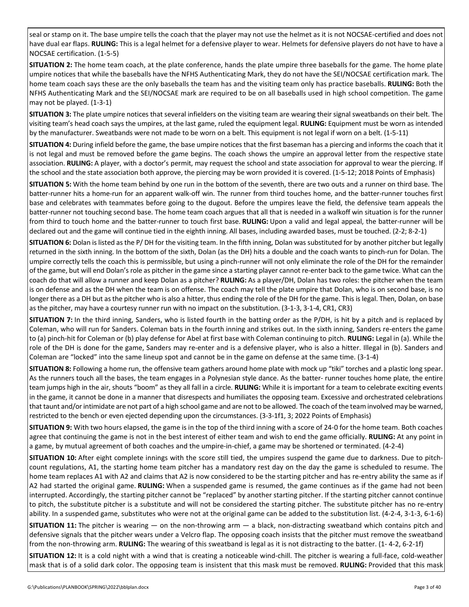seal or stamp on it. The base umpire tells the coach that the player may not use the helmet as it is not NOCSAE-certified and does not have dual ear flaps. **RULING:** This is a legal helmet for a defensive player to wear. Helmets for defensive players do not have to have a NOCSAE certification. (1-5-5)

**SITUATION 2:** The home team coach, at the plate conference, hands the plate umpire three baseballs for the game. The home plate umpire notices that while the baseballs have the NFHS Authenticating Mark, they do not have the SEI/NOCSAE certification mark. The home team coach says these are the only baseballs the team has and the visiting team only has practice baseballs. **RULING:** Both the NFHS Authenticating Mark and the SEI/NOCSAE mark are required to be on all baseballs used in high school competition. The game may not be played. (1-3-1)

**SITUATION 3:** The plate umpire notices that several infielders on the visiting team are wearing their signal sweatbands on their belt. The visiting team's head coach says the umpires, at the last game, ruled the equipment legal. **RULING:** Equipment must be worn as intended by the manufacturer. Sweatbands were not made to be worn on a belt. This equipment is not legal if worn on a belt. (1-5-11)

**SITUATION 4:** During infield before the game, the base umpire notices that the first baseman has a piercing and informs the coach that it is not legal and must be removed before the game begins. The coach shows the umpire an approval letter from the respective state association. **RULING:** A player, with a doctor's permit, may request the school and state association for approval to wear the piercing. If the school and the state association both approve, the piercing may be worn provided it is covered. (1-5-12; 2018 Points of Emphasis)

**SITUATION 5:** With the home team behind by one run in the bottom of the seventh, there are two outs and a runner on third base. The batter-runner hits a home-run for an apparent walk-off win. The runner from third touches home, and the batter-runner touches first base and celebrates with teammates before going to the dugout. Before the umpires leave the field, the defensive team appeals the batter-runner not touching second base. The home team coach argues that all that is needed in a walkoff win situation is for the runner from third to touch home and the batter-runner to touch first base. **RULING:** Upon a valid and legal appeal, the batter-runner will be declared out and the game will continue tied in the eighth inning. All bases, including awarded bases, must be touched. (2-2; 8-2-1)

**SITUATION 6:** Dolan is listed as the P/ DH for the visiting team. In the fifth inning, Dolan was substituted for by another pitcher but legally returned in the sixth inning. In the bottom of the sixth, Dolan (as the DH) hits a double and the coach wants to pinch-run for Dolan. The umpire correctly tells the coach this is permissible, but using a pinch-runner will not only eliminate the role of the DH for the remainder of the game, but will end Dolan's role as pitcher in the game since a starting player cannot re-enter back to the game twice. What can the coach do that will allow a runner and keep Dolan as a pitcher? **RULING:** As a player/DH, Dolan has two roles: the pitcher when the team is on defense and as the DH when the team is on offense. The coach may tell the plate umpire that Dolan, who is on second base, is no longer there as a DH but as the pitcher who is also a hitter, thus ending the role of the DH for the game. This is legal. Then, Dolan, on base as the pitcher, may have a courtesy runner run with no impact on the substitution. (3-1-3, 3-1-4, CR1, CR3)

**SITUATION 7:** In the third inning, Sanders, who is listed fourth in the batting order as the P/DH, is hit by a pitch and is replaced by Coleman, who will run for Sanders. Coleman bats in the fourth inning and strikes out. In the sixth inning, Sanders re-enters the game to (a) pinch-hit for Coleman or (b) play defense for Abel at first base with Coleman continuing to pitch. **RULING:** Legal in (a). While the role of the DH is done for the game, Sanders may re-enter and is a defensive player, who is also a hitter. Illegal in (b). Sanders and Coleman are "locked" into the same lineup spot and cannot be in the game on defense at the same time. (3-1-4)

**SITUATION 8:** Following a home run, the offensive team gathers around home plate with mock up "tiki" torches and a plastic long spear. As the runners touch all the bases, the team engages in a Polynesian style dance. As the batter- runner touches home plate, the entire team jumps high in the air, shouts "boom" as they all fall in a circle. **RULING:** While it is important for a team to celebrate exciting events in the game, it cannot be done in a manner that disrespects and humiliates the opposing team. Excessive and orchestrated celebrations that taunt and/or intimidate are not part of a high school game and are not to be allowed. The coach of the team involved may be warned, restricted to the bench or even ejected depending upon the circumstances. (3-3-1f1, 3; 2022 Points of Emphasis)

**SITUATION 9:** With two hours elapsed, the game is in the top of the third inning with a score of 24-0 for the home team. Both coaches agree that continuing the game is not in the best interest of either team and wish to end the game officially. **RULING:** At any point in a game, by mutual agreement of both coaches and the umpire-in-chief, a game may be shortened or terminated. (4-2-4)

**SITUATION 10:** After eight complete innings with the score still tied, the umpires suspend the game due to darkness. Due to pitchcount regulations, A1, the starting home team pitcher has a mandatory rest day on the day the game is scheduled to resume. The home team replaces A1 with A2 and claims that A2 is now considered to be the starting pitcher and has re-entry ability the same as if A2 had started the original game. **RULING:** When a suspended game is resumed, the game continues as if the game had not been interrupted. Accordingly, the starting pitcher cannot be "replaced" by another starting pitcher. If the starting pitcher cannot continue to pitch, the substitute pitcher is a substitute and will not be considered the starting pitcher. The substitute pitcher has no re-entry ability. In a suspended game, substitutes who were not at the original game can be added to the substitution list. (4-2-4, 3-1-3, 6-1-6)

**SITUATION 11:** The pitcher is wearing — on the non-throwing arm — a black, non-distracting sweatband which contains pitch and defensive signals that the pitcher wears under a Velcro flap. The opposing coach insists that the pitcher must remove the sweatband from the non-throwing arm. **RULING:** The wearing of this sweatband is legal as it is not distracting to the batter. (1- 4-2, 6-2-1f)

**SITUATION 12:** It is a cold night with a wind that is creating a noticeable wind-chill. The pitcher is wearing a full-face, cold-weather mask that is of a solid dark color. The opposing team is insistent that this mask must be removed. **RULING:** Provided that this mask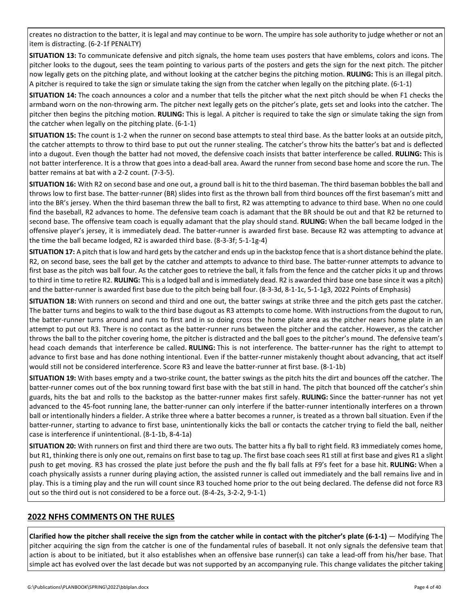creates no distraction to the batter, it is legal and may continue to be worn. The umpire has sole authority to judge whether or not an item is distracting. (6-2-1f PENALTY)

**SITUATION 13:** To communicate defensive and pitch signals, the home team uses posters that have emblems, colors and icons. The pitcher looks to the dugout, sees the team pointing to various parts of the posters and gets the sign for the next pitch. The pitcher now legally gets on the pitching plate, and without looking at the catcher begins the pitching motion. **RULING:** This is an illegal pitch. A pitcher is required to take the sign or simulate taking the sign from the catcher when legally on the pitching plate. (6-1-1)

**SITUATION 14:** The coach announces a color and a number that tells the pitcher what the next pitch should be when F1 checks the armband worn on the non-throwing arm. The pitcher next legally gets on the pitcher's plate, gets set and looks into the catcher. The pitcher then begins the pitching motion. **RULING:** This is legal. A pitcher is required to take the sign or simulate taking the sign from the catcher when legally on the pitching plate. (6-1-1)

**SITUATION 15:** The count is 1-2 when the runner on second base attempts to steal third base. As the batter looks at an outside pitch, the catcher attempts to throw to third base to put out the runner stealing. The catcher's throw hits the batter's bat and is deflected into a dugout. Even though the batter had not moved, the defensive coach insists that batter interference be called. **RULING:** This is not batter interference. It is a throw that goes into a dead-ball area. Award the runner from second base home and score the run. The batter remains at bat with a 2-2 count. (7-3-5).

**SITUATION 16:** With R2 on second base and one out, a ground ball is hit to the third baseman. The third baseman bobbles the ball and throws low to first base. The batter-runner (BR) slides into first as the thrown ball from third bounces off the first baseman's mitt and into the BR's jersey. When the third baseman threw the ball to first, R2 was attempting to advance to third base. When no one could find the baseball, R2 advances to home. The defensive team coach is adamant that the BR should be out and that R2 be returned to second base. The offensive team coach is equally adamant that the play should stand. **RULING:** When the ball became lodged in the offensive player's jersey, it is immediately dead. The batter-runner is awarded first base. Because R2 was attempting to advance at the time the ball became lodged, R2 is awarded third base. (8-3-3f; 5-1-1g-4)

**SITUATION 17:** A pitch that is low and hard gets by the catcher and ends up in the backstop fence that is a short distance behind the plate. R2, on second base, sees the ball get by the catcher and attempts to advance to third base. The batter-runner attempts to advance to first base as the pitch was ball four. As the catcher goes to retrieve the ball, it falls from the fence and the catcher picks it up and throws to third in time to retire R2. **RULING:** This is a lodged ball and is immediately dead. R2 is awarded third base one base since it was a pitch) and the batter-runner is awarded first base due to the pitch being ball four. (8-3-3d, 8-1-1c, 5-1-1g3, 2022 Points of Emphasis)

**SITUATION 18:** With runners on second and third and one out, the batter swings at strike three and the pitch gets past the catcher. The batter turns and begins to walk to the third base dugout as R3 attempts to come home. With instructions from the dugout to run, the batter-runner turns around and runs to first and in so doing cross the home plate area as the pitcher nears home plate in an attempt to put out R3. There is no contact as the batter-runner runs between the pitcher and the catcher. However, as the catcher throws the ball to the pitcher covering home, the pitcher is distracted and the ball goes to the pitcher's mound. The defensive team's head coach demands that interference be called. **RULING:** This is not interference. The batter-runner has the right to attempt to advance to first base and has done nothing intentional. Even if the batter-runner mistakenly thought about advancing, that act itself would still not be considered interference. Score R3 and leave the batter-runner at first base. (8-1-1b)

**SITUATION 19:** With bases empty and a two-strike count, the batter swings as the pitch hits the dirt and bounces off the catcher. The batter-runner comes out of the box running toward first base with the bat still in hand. The pitch that bounced off the catcher's shin guards, hits the bat and rolls to the backstop as the batter-runner makes first safely. **RULING:** Since the batter-runner has not yet advanced to the 45-foot running lane, the batter-runner can only interfere if the batter-runner intentionally interferes on a thrown ball or intentionally hinders a fielder. A strike three where a batter becomes a runner, is treated as a thrown ball situation. Even if the batter-runner, starting to advance to first base, unintentionally kicks the ball or contacts the catcher trying to field the ball, neither case is interference if unintentional. (8-1-1b, 8-4-1a)

**SITUATION 20:** With runners on first and third there are two outs. The batter hits a fly ball to right field. R3 immediately comes home, but R1, thinking there is only one out, remains on first base to tag up. The first base coach sees R1 still at first base and gives R1 a slight push to get moving. R3 has crossed the plate just before the push and the fly ball falls at F9's feet for a base hit. **RULING:** When a coach physically assists a runner during playing action, the assisted runner is called out immediately and the ball remains live and in play. This is a timing play and the run will count since R3 touched home prior to the out being declared. The defense did not force R3 out so the third out is not considered to be a force out. (8-4-2s, 3-2-2, 9-1-1)

# **2022 NFHS COMMENTS ON THE RULES**

**Clarified how the pitcher shall receive the sign from the catcher while in contact with the pitcher's plate (6-1-1)** — Modifying The pitcher acquiring the sign from the catcher is one of the fundamental rules of baseball. It not only signals the defensive team that action is about to be initiated, but it also establishes when an offensive base runner(s) can take a lead-off from his/her base. That simple act has evolved over the last decade but was not supported by an accompanying rule. This change validates the pitcher taking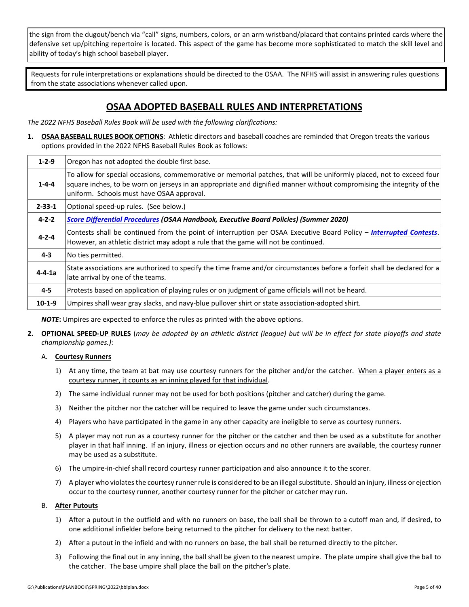the sign from the dugout/bench via "call" signs, numbers, colors, or an arm wristband/placard that contains printed cards where the defensive set up/pitching repertoire is located. This aspect of the game has become more sophisticated to match the skill level and ability of today's high school baseball player.

Requests for rule interpretations or explanations should be directed to the OSAA. The NFHS will assist in answering rules questions from the state associations whenever called upon.

# **OSAA ADOPTED BASEBALL RULES AND INTERPRETATIONS**

*The 2022 NFHS Baseball Rules Book will be used with the following clarifications:*

**1. OSAA BASEBALL RULES BOOK OPTIONS**: Athletic directors and baseball coaches are reminded that Oregon treats the various options provided in the 2022 NFHS Baseball Rules Book as follows:

| $1 - 2 - 9$  | Oregon has not adopted the double first base.                                                                                                                                                                                                                                              |
|--------------|--------------------------------------------------------------------------------------------------------------------------------------------------------------------------------------------------------------------------------------------------------------------------------------------|
| $1 - 4 - 4$  | To allow for special occasions, commemorative or memorial patches, that will be uniformly placed, not to exceed four<br>square inches, to be worn on jerseys in an appropriate and dignified manner without compromising the integrity of the<br>uniform. Schools must have OSAA approval. |
| $2 - 33 - 1$ | Optional speed-up rules. (See below.)                                                                                                                                                                                                                                                      |
| $4 - 2 - 2$  | Score Differential Procedures (OSAA Handbook, Executive Board Policies) (Summer 2020)                                                                                                                                                                                                      |
| $4 - 2 - 4$  | Contests shall be continued from the point of interruption per OSAA Executive Board Policy – <i>Interrupted Contests</i> .<br>However, an athletic district may adopt a rule that the game will not be continued.                                                                          |
| $4 - 3$      | No ties permitted.                                                                                                                                                                                                                                                                         |
| $4 - 4 - 1a$ | State associations are authorized to specify the time frame and/or circumstances before a forfeit shall be declared for a<br>late arrival by one of the teams.                                                                                                                             |
| $4 - 5$      | Protests based on application of playing rules or on judgment of game officials will not be heard.                                                                                                                                                                                         |
| $10-1-9$     | Umpires shall wear gray slacks, and navy-blue pullover shirt or state association-adopted shirt.                                                                                                                                                                                           |

*NOTE***:** Umpires are expected to enforce the rules as printed with the above options.

**2. OPTIONAL SPEED-UP RULES** (*may be adopted by an athletic district (league) but will be in effect for state playoffs and state championship games.)*:

# A. **Courtesy Runners**

- 1) At any time, the team at bat may use courtesy runners for the pitcher and/or the catcher. When a player enters as a courtesy runner, it counts as an inning played for that individual.
- 2) The same individual runner may not be used for both positions (pitcher and catcher) during the game.
- 3) Neither the pitcher nor the catcher will be required to leave the game under such circumstances.
- 4) Players who have participated in the game in any other capacity are ineligible to serve as courtesy runners.
- 5) A player may not run as a courtesy runner for the pitcher or the catcher and then be used as a substitute for another player in that half inning. If an injury, illness or ejection occurs and no other runners are available, the courtesy runner may be used as a substitute.
- 6) The umpire-in-chief shall record courtesy runner participation and also announce it to the scorer.
- 7) A player who violates the courtesy runner rule is considered to be an illegal substitute. Should an injury, illness or ejection occur to the courtesy runner, another courtesy runner for the pitcher or catcher may run.

# B. **After Putouts**

- 1) After a putout in the outfield and with no runners on base, the ball shall be thrown to a cutoff man and, if desired, to one additional infielder before being returned to the pitcher for delivery to the next batter.
- 2) After a putout in the infield and with no runners on base, the ball shall be returned directly to the pitcher.
- 3) Following the final out in any inning, the ball shall be given to the nearest umpire. The plate umpire shall give the ball to the catcher. The base umpire shall place the ball on the pitcher's plate.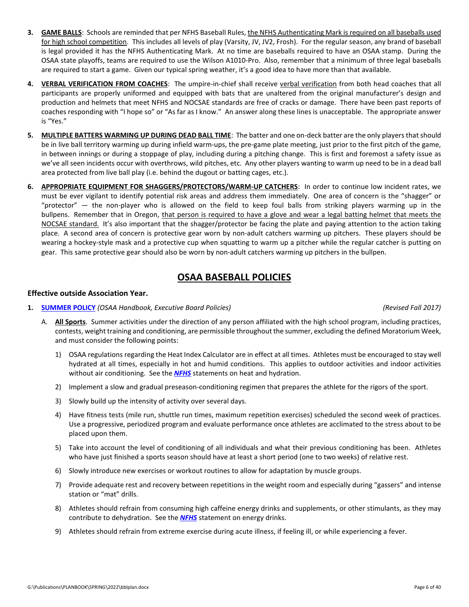- **3. GAME BALLS**: Schools are reminded that per NFHS Baseball Rules, the NFHS Authenticating Mark is required on all baseballs used for high school competition. This includes all levels of play (Varsity, JV, JV2, Frosh). For the regular season, any brand of baseball is legal provided it has the NFHS Authenticating Mark. At no time are baseballs required to have an OSAA stamp. During the OSAA state playoffs, teams are required to use the Wilson A1010-Pro. Also, remember that a minimum of three legal baseballs are required to start a game. Given our typical spring weather, it's a good idea to have more than that available.
- **4. VERBAL VERIFICATION FROM COACHES**: The umpire-in-chief shall receive verbal verification from both head coaches that all participants are properly uniformed and equipped with bats that are unaltered from the original manufacturer's design and production and helmets that meet NFHS and NOCSAE standards are free of cracks or damage. There have been past reports of coaches responding with "I hope so" or "As far as I know." An answer along these lines is unacceptable. The appropriate answer is "Yes."
- **5. MULTIPLE BATTERS WARMING UP DURING DEAD BALL TIME**: The batter and one on-deck batter are the only players that should be in live ball territory warming up during infield warm-ups, the pre-game plate meeting, just prior to the first pitch of the game, in between innings or during a stoppage of play, including during a pitching change. This is first and foremost a safety issue as we've all seen incidents occur with overthrows, wild pitches, etc. Any other players wanting to warm up need to be in a dead ball area protected from live ball play (i.e. behind the dugout or batting cages, etc.).
- **6. APPROPRIATE EQUIPMENT FOR SHAGGERS/PROTECTORS/WARM-UP CATCHERS**: In order to continue low incident rates, we must be ever vigilant to identify potential risk areas and address them immediately. One area of concern is the "shagger" or "protector" — the non-player who is allowed on the field to keep foul balls from striking players warming up in the bullpens. Remember that in Oregon, that person is required to have a glove and wear a legal batting helmet that meets the NOCSAE standard. It's also important that the shagger/protector be facing the plate and paying attention to the action taking place. A second area of concern is protective gear worn by non-adult catchers warming up pitchers. These players should be wearing a hockey-style mask and a protective cup when squatting to warm up a pitcher while the regular catcher is putting on gear. This same protective gear should also be worn by non-adult catchers warming up pitchers in the bullpen.

# **OSAA BASEBALL POLICIES**

# **Effective outside Association Year.**

**1. [SUMMER POLICY](http://www.osaa.org/governance/handbooks/osaa#_Toc456100463)** *(OSAA Handbook, Executive Board Policies) (Revised Fall 2017)*

- A. **All Sports**. Summer activities under the direction of any person affiliated with the high school program, including practices, contests, weight training and conditioning, are permissible throughout the summer, excluding the defined Moratorium Week, and must consider the following points:
	- 1) OSAA regulations regarding the Heat Index Calculator are in effect at all times. Athletes must be encouraged to stay well hydrated at all times, especially in hot and humid conditions. This applies to outdoor activities and indoor activities without air conditioning. See the *[NFHS](http://www.nfhs.org/sports-resource-content/nfhs-sports-medicine-position-statements-and-guidelines/)* statements on heat and hydration.
	- 2) Implement a slow and gradual preseason-conditioning regimen that prepares the athlete for the rigors of the sport.
	- 3) Slowly build up the intensity of activity over several days.
	- 4) Have fitness tests (mile run, shuttle run times, maximum repetition exercises) scheduled the second week of practices. Use a progressive, periodized program and evaluate performance once athletes are acclimated to the stress about to be placed upon them.
	- 5) Take into account the level of conditioning of all individuals and what their previous conditioning has been. Athletes who have just finished a sports season should have at least a short period (one to two weeks) of relative rest.
	- 6) Slowly introduce new exercises or workout routines to allow for adaptation by muscle groups.
	- 7) Provide adequate rest and recovery between repetitions in the weight room and especially during "gassers" and intense station or "mat" drills.
	- 8) Athletes should refrain from consuming high caffeine energy drinks and supplements, or other stimulants, as they may contribute to dehydration. See the *[NFHS](http://www.nfhs.org/sports-resource-content/nfhs-sports-medicine-position-statements-and-guidelines/)* statement on energy drinks.
	- 9) Athletes should refrain from extreme exercise during acute illness, if feeling ill, or while experiencing a fever.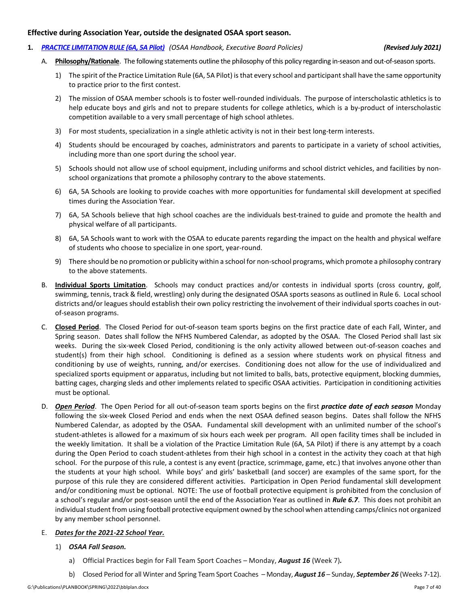# **Effective during Association Year, outside the designated OSAA sport season.**

**1.** *[PRACTICE LIMITATION RULE \(6A, 5A Pilot\)](http://www.osaa.org/governance/handbooks/osaa#_Toc456100421) (OSAA Handbook, Executive Board Policies) (Revised July 2021)*

- A. **Philosophy/Rationale**. The following statements outline the philosophy of this policy regarding in-season and out-of-season sports.
	- 1) The spirit of the Practice Limitation Rule (6A, 5A Pilot) is that every school and participant shall have the same opportunity to practice prior to the first contest.
	- 2) The mission of OSAA member schools is to foster well-rounded individuals. The purpose of interscholastic athletics is to help educate boys and girls and not to prepare students for college athletics, which is a by-product of interscholastic competition available to a very small percentage of high school athletes.
	- 3) For most students, specialization in a single athletic activity is not in their best long-term interests.
	- 4) Students should be encouraged by coaches, administrators and parents to participate in a variety of school activities, including more than one sport during the school year.
	- 5) Schools should not allow use of school equipment, including uniforms and school district vehicles, and facilities by nonschool organizations that promote a philosophy contrary to the above statements.
	- 6) 6A, 5A Schools are looking to provide coaches with more opportunities for fundamental skill development at specified times during the Association Year.
	- 7) 6A, 5A Schools believe that high school coaches are the individuals best-trained to guide and promote the health and physical welfare of all participants.
	- 8) 6A, 5A Schools want to work with the OSAA to educate parents regarding the impact on the health and physical welfare of students who choose to specialize in one sport, year-round.
	- 9) There should be no promotion or publicity within a school for non-school programs, which promote a philosophy contrary to the above statements.
- B. **Individual Sports Limitation**. Schools may conduct practices and/or contests in individual sports (cross country, golf, swimming, tennis, track & field, wrestling) only during the designated OSAA sports seasons as outlined in Rule 6. Local school districts and/or leagues should establish their own policy restricting the involvement of their individual sports coaches in outof-season programs.
- C. **Closed Period**. The Closed Period for out-of-season team sports begins on the first practice date of each Fall, Winter, and Spring season. Dates shall follow the NFHS Numbered Calendar, as adopted by the OSAA. The Closed Period shall last six weeks. During the six-week Closed Period, conditioning is the only activity allowed between out-of-season coaches and student(s) from their high school. Conditioning is defined as a session where students work on physical fitness and conditioning by use of weights, running, and/or exercises. Conditioning does not allow for the use of individualized and specialized sports equipment or apparatus, including but not limited to balls, bats, protective equipment, blocking dummies, batting cages, charging sleds and other implements related to specific OSAA activities. Participation in conditioning activities must be optional.
- D. *Open Period*. The Open Period for all out-of-season team sports begins on the first *practice date of each season* Monday following the six-week Closed Period and ends when the next OSAA defined season begins. Dates shall follow the NFHS Numbered Calendar, as adopted by the OSAA. Fundamental skill development with an unlimited number of the school's student-athletes is allowed for a maximum of six hours each week per program. All open facility times shall be included in the weekly limitation. It shall be a violation of the Practice Limitation Rule (6A, 5A Pilot) if there is any attempt by a coach during the Open Period to coach student-athletes from their high school in a contest in the activity they coach at that high school. For the purpose of this rule, a contest is any event (practice, scrimmage, game, etc.) that involves anyone other than the students at your high school. While boys' and girls' basketball (and soccer) are examples of the same sport, for the purpose of this rule they are considered different activities. Participation in Open Period fundamental skill development and/or conditioning must be optional. NOTE: The use of football protective equipment is prohibited from the conclusion of a school's regular and/or post-season until the end of the Association Year as outlined in *Rule 6.7*. This does not prohibit an individual student from using football protective equipment owned by the school when attending camps/clinics not organized by any member school personnel.
- E. *Dates for the 2021-22 School Year.*
	- 1) *OSAA Fall Season.* 
		- a) Official Practices begin for Fall Team Sport Coaches Monday, *August 16* (Week 7)*.*
		- b) Closed Period for all Winter and Spring Team Sport Coaches Monday, *August 16*  Sunday, *September 26* (Weeks 7-12).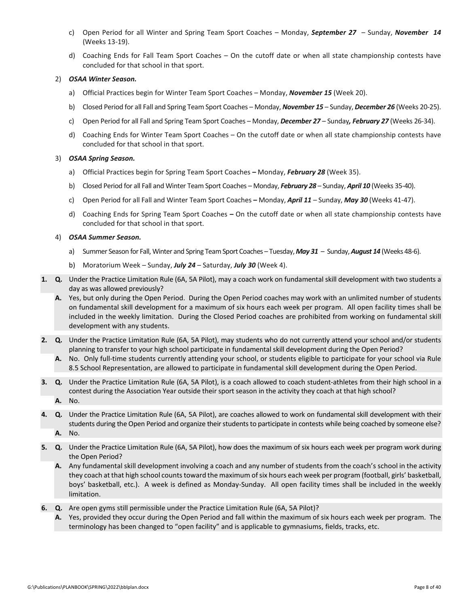- c) Open Period for all Winter and Spring Team Sport Coaches Monday, *September 27*  Sunday, *November 14*  (Weeks 13-19).
- d) Coaching Ends for Fall Team Sport Coaches On the cutoff date or when all state championship contests have concluded for that school in that sport.

# 2) *OSAA Winter Season.*

- a) Official Practices begin for Winter Team Sport Coaches Monday, *November 15* (Week 20).
- b) Closed Period for all Fall and Spring Team Sport Coaches Monday, *November 15*  Sunday, *December 26* (Weeks 20-25).
- c) Open Period for all Fall and Spring Team Sport Coaches Monday, *December 27* Sunday*, February 27* (Weeks 26-34).
- d) Coaching Ends for Winter Team Sport Coaches On the cutoff date or when all state championship contests have concluded for that school in that sport.

# 3) *OSAA Spring Season.*

- a) Official Practices begin for Spring Team Sport Coaches *–* Monday, *February 28* (Week 35).
- b) Closed Period for all Fall and Winter Team Sport Coaches Monday, *February 28*  Sunday, *April 10* (Weeks 35-40).
- c) Open Period for all Fall and Winter Team Sport Coaches *–* Monday, *April 11*  Sunday, *May 30* (Weeks 41-47).
- d) Coaching Ends for Spring Team Sport Coaches *–* On the cutoff date or when all state championship contests have concluded for that school in that sport.

# 4) *OSAA Summer Season.*

- a) Summer Season for Fall, Winter and Spring Team Sport Coaches Tuesday, *May 31*  Sunday,*August 14* (Weeks 48-6).
- b) Moratorium Week Sunday, *July 24*  Saturday, *July 30* (Week 4).
- **1. Q.** Under the Practice Limitation Rule (6A, 5A Pilot), may a coach work on fundamental skill development with two students a day as was allowed previously?
	- **A.** Yes, but only during the Open Period. During the Open Period coaches may work with an unlimited number of students on fundamental skill development for a maximum of six hours each week per program. All open facility times shall be included in the weekly limitation. During the Closed Period coaches are prohibited from working on fundamental skill development with any students.
- **2. Q.** Under the Practice Limitation Rule (6A, 5A Pilot), may students who do not currently attend your school and/or students planning to transfer to your high school participate in fundamental skill development during the Open Period?
	- **A.** No. Only full-time students currently attending your school, or students eligible to participate for your school via Rule 8.5 School Representation, are allowed to participate in fundamental skill development during the Open Period.
- **3. Q.** Under the Practice Limitation Rule (6A, 5A Pilot), is a coach allowed to coach student-athletes from their high school in a contest during the Association Year outside their sport season in the activity they coach at that high school? **A.** No.
- **4. Q.** Under the Practice Limitation Rule (6A, 5A Pilot), are coaches allowed to work on fundamental skill development with their students during the Open Period and organize their students to participate in contests while being coached by someone else? **A.** No.
- **5. Q.** Under the Practice Limitation Rule (6A, 5A Pilot), how does the maximum of six hours each week per program work during the Open Period?
	- **A.** Any fundamental skill development involving a coach and any number of students from the coach's school in the activity they coach at that high school counts toward the maximum of six hours each week per program (football, girls' basketball, boys' basketball, etc.). A week is defined as Monday-Sunday. All open facility times shall be included in the weekly limitation.
- **6. Q.** Are open gyms still permissible under the Practice Limitation Rule (6A, 5A Pilot)?
	- **A.** Yes, provided they occur during the Open Period and fall within the maximum of six hours each week per program. The terminology has been changed to "open facility" and is applicable to gymnasiums, fields, tracks, etc.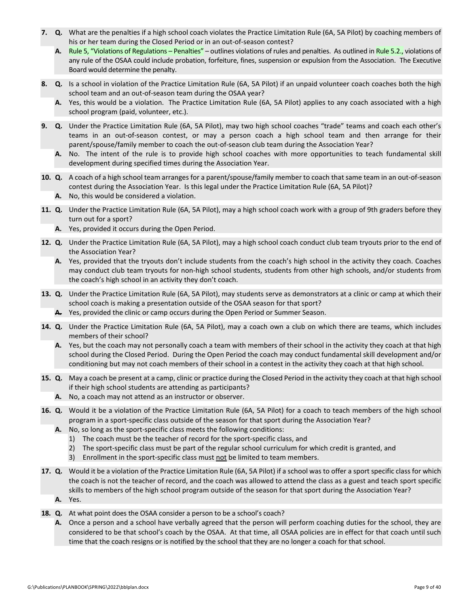- **7. Q.** What are the penalties if a high school coach violates the Practice Limitation Rule (6A, 5A Pilot) by coaching members of his or her team during the Closed Period or in an out-of-season contest?
	- **A.** Rule 5, "Violations of Regulations Penalties" [outlines violations of rules and penalties. As outlined in Rule 5.2.,](http://www.osaa.org/governance/handbooks/osaa#_Toc456100268) violations of any rule of the OSAA could include probation, forfeiture, fines, suspension or expulsion from the Association. The Executive Board would determine the penalty.
- **8. Q.** Is a school in violation of the Practice Limitation Rule (6A, 5A Pilot) if an unpaid volunteer coach coaches both the high school team and an out-of-season team during the OSAA year?
	- **A.** Yes, this would be a violation. The Practice Limitation Rule (6A, 5A Pilot) applies to any coach associated with a high school program (paid, volunteer, etc.).
- **9. Q.** Under the Practice Limitation Rule (6A, 5A Pilot), may two high school coaches "trade" teams and coach each other's teams in an out-of-season contest, or may a person coach a high school team and then arrange for their parent/spouse/family member to coach the out-of-season club team during the Association Year?
	- **A.** No. The intent of the rule is to provide high school coaches with more opportunities to teach fundamental skill development during specified times during the Association Year.
- **10. Q.** A coach of a high school team arranges for a parent/spouse/family member to coach that same team in an out-of-season contest during the Association Year. Is this legal under the Practice Limitation Rule (6A, 5A Pilot)?
	- **A.** No, this would be considered a violation.
- **11. Q.** Under the Practice Limitation Rule (6A, 5A Pilot), may a high school coach work with a group of 9th graders before they turn out for a sport?
	- **A.** Yes, provided it occurs during the Open Period.
- **12. Q.** Under the Practice Limitation Rule (6A, 5A Pilot), may a high school coach conduct club team tryouts prior to the end of the Association Year?
	- **A.** Yes, provided that the tryouts don't include students from the coach's high school in the activity they coach. Coaches may conduct club team tryouts for non-high school students, students from other high schools, and/or students from the coach's high school in an activity they don't coach.
- **13. Q.** Under the Practice Limitation Rule (6A, 5A Pilot), may students serve as demonstrators at a clinic or camp at which their school coach is making a presentation outside of the OSAA season for that sport?
	- **A.** Yes, provided the clinic or camp occurs during the Open Period or Summer Season.
- **14. Q.** Under the Practice Limitation Rule (6A, 5A Pilot), may a coach own a club on which there are teams, which includes members of their school?
	- **A.** Yes, but the coach may not personally coach a team with members of their school in the activity they coach at that high school during the Closed Period. During the Open Period the coach may conduct fundamental skill development and/or conditioning but may not coach members of their school in a contest in the activity they coach at that high school.
- **15. Q.** May a coach be present at a camp, clinic or practice during the Closed Period in the activity they coach at that high school if their high school students are attending as participants?
	- **A.** No, a coach may not attend as an instructor or observer.
- **16. Q.** Would it be a violation of the Practice Limitation Rule (6A, 5A Pilot) for a coach to teach members of the high school program in a sport-specific class outside of the season for that sport during the Association Year?
	- **A.** No, so long as the sport-specific class meets the following conditions:
		- 1) The coach must be the teacher of record for the sport-specific class, and
		- 2) The sport-specific class must be part of the regular school curriculum for which credit is granted, and
		- 3) Enrollment in the sport-specific class must not be limited to team members.
- **17. Q.** Would it be a violation of the Practice Limitation Rule (6A, 5A Pilot) if a school was to offer a sport specific class for which the coach is not the teacher of record, and the coach was allowed to attend the class as a guest and teach sport specific skills to members of the high school program outside of the season for that sport during the Association Year? **A.** Yes.
- **18. Q.** At what point does the OSAA consider a person to be a school's coach?
	- **A.** Once a person and a school have verbally agreed that the person will perform coaching duties for the school, they are considered to be that school's coach by the OSAA. At that time, all OSAA policies are in effect for that coach until such time that the coach resigns or is notified by the school that they are no longer a coach for that school.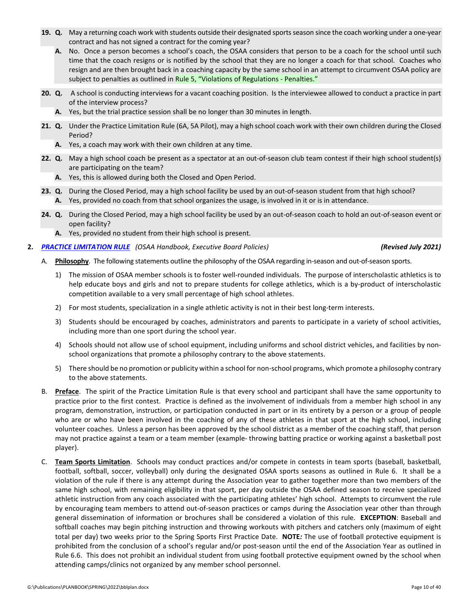- **19. Q.** May a returning coach work with students outside their designated sports season since the coach working under a one-year contract and has not signed a contract for the coming year?
	- **A.** No. Once a person becomes a school's coach, the OSAA considers that person to be a coach for the school until such time that the coach resigns or is notified by the school that they are no longer a coach for that school. Coaches who resign and are then brought back in a coaching capacity by the same school in an attempt to circumvent OSAA policy are subject to penalties as outlined in [Rule 5, "Violations of Regulations -](http://www.osaa.org/governance/handbooks/osaa#_Toc456100268) Penalties."
- **20. Q.** A school is conducting interviews for a vacant coaching position. Is the interviewee allowed to conduct a practice in part of the interview process?
	- **A.** Yes, but the trial practice session shall be no longer than 30 minutes in length.
- **21. Q.** Under the Practice Limitation Rule (6A, 5A Pilot), may a high school coach work with their own children during the Closed Period?
	- **A.** Yes, a coach may work with their own children at any time.
- **22. Q.** May a high school coach be present as a spectator at an out-of-season club team contest if their high school student(s) are participating on the team?
	- **A.** Yes, this is allowed during both the Closed and Open Period.
- **23. Q.** During the Closed Period, may a high school facility be used by an out-of-season student from that high school? **A.** Yes, provided no coach from that school organizes the usage, is involved in it or is in attendance.
- **24. Q.** During the Closed Period, may a high school facility be used by an out-of-season coach to hold an out-of-season event or open facility?
	- **A.** Yes, provided no student from their high school is present.
- **2.** *[PRACTICE LIMITATION RULE](http://www.osaa.org/governance/handbooks/osaa#_Toc456100421) (OSAA Handbook, Executive Board Policies) (Revised July 2021)*

- A. **Philosophy**. The following statements outline the philosophy of the OSAA regarding in-season and out-of-season sports.
	- 1) The mission of OSAA member schools is to foster well-rounded individuals. The purpose of interscholastic athletics is to help educate boys and girls and not to prepare students for college athletics, which is a by-product of interscholastic competition available to a very small percentage of high school athletes.
	- 2) For most students, specialization in a single athletic activity is not in their best long-term interests.
	- 3) Students should be encouraged by coaches, administrators and parents to participate in a variety of school activities, including more than one sport during the school year.
	- 4) Schools should not allow use of school equipment, including uniforms and school district vehicles, and facilities by nonschool organizations that promote a philosophy contrary to the above statements.
	- 5) There should be no promotion or publicity within a school for non-school programs, which promote a philosophy contrary to the above statements.
- B. **Preface**. The spirit of the Practice Limitation Rule is that every school and participant shall have the same opportunity to practice prior to the first contest. Practice is defined as the involvement of individuals from a member high school in any program, demonstration, instruction, or participation conducted in part or in its entirety by a person or a group of people who are or who have been involved in the coaching of any of these athletes in that sport at the high school, including volunteer coaches. Unless a person has been approved by the school district as a member of the coaching staff, that person may not practice against a team or a team member (example- throwing batting practice or working against a basketball post player).
- C. **Team Sports Limitation**. Schools may conduct practices and/or compete in contests in team sports (baseball, basketball, football, softball, soccer, volleyball) only during the designated OSAA sports seasons as outlined in Rule 6. It shall be a violation of the rule if there is any attempt during the Association year to gather together more than two members of the same high school, with remaining eligibility in that sport, per day outside the OSAA defined season to receive specialized athletic instruction from any coach associated with the participating athletes' high school. Attempts to circumvent the rule by encouraging team members to attend out-of-season practices or camps during the Association year other than through general dissemination of information or brochures shall be considered a violation of this rule. **EXCEPTION**: Baseball and softball coaches may begin pitching instruction and throwing workouts with pitchers and catchers only (maximum of eight total per day) two weeks prior to the Spring Sports First Practice Date. **NOTE***:* The use of football protective equipment is prohibited from the conclusion of a school's regular and/or post-season until the end of the Association Year as outlined in Rule 6.6. This does not prohibit an individual student from using football protective equipment owned by the school when attending camps/clinics not organized by any member school personnel.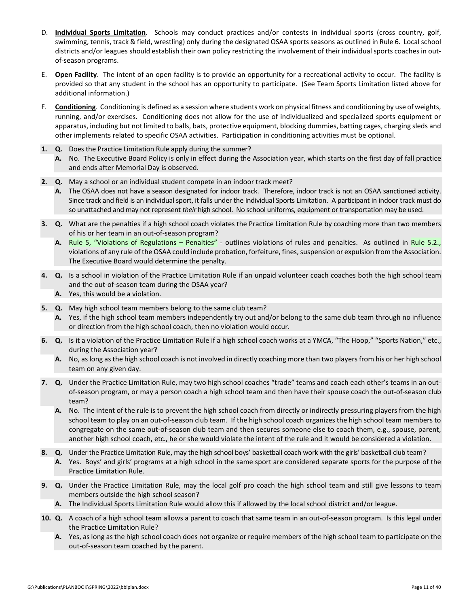- D. **Individual Sports Limitation**. Schools may conduct practices and/or contests in individual sports (cross country, golf, swimming, tennis, track & field, wrestling) only during the designated OSAA sports seasons as outlined in Rule 6. Local school districts and/or leagues should establish their own policy restricting the involvement of their individual sports coaches in outof-season programs.
- E. **Open Facility**. The intent of an open facility is to provide an opportunity for a recreational activity to occur. The facility is provided so that any student in the school has an opportunity to participate. (See Team Sports Limitation listed above for additional information.)
- F. **Conditioning**. Conditioning is defined as a session where students work on physical fitness and conditioning by use of weights, running, and/or exercises. Conditioning does not allow for the use of individualized and specialized sports equipment or apparatus, including but not limited to balls, bats, protective equipment, blocking dummies, batting cages, charging sleds and other implements related to specific OSAA activities. Participation in conditioning activities must be optional.
- **1. Q.** Does the Practice Limitation Rule apply during the summer?
	- **A.** No. The Executive Board Policy is only in effect during the Association year, which starts on the first day of fall practice and ends after Memorial Day is observed.
- **2. Q.** May a school or an individual student compete in an indoor track meet?
	- **A.** The OSAA does not have a season designated for indoor track. Therefore, indoor track is not an OSAA sanctioned activity. Since track and field is an individual sport, it falls under the Individual Sports Limitation. A participant in indoor track must do so unattached and may not represent *their* high school. No school uniforms, equipment or transportation may be used.
- **3. Q.** What are the penalties if a high school coach violates the Practice Limitation Rule by coaching more than two members of his or her team in an out-of-season program?
	- **A.** Rule 5, "Violations of Regulations Penalties" [outlines violations of rules and penalties. As outlined in Rule 5.2.,](http://www.osaa.org/governance/handbooks/osaa#_Toc456100268) violations of any rule of the OSAA could include probation, forfeiture, fines, suspension or expulsion from the Association. The Executive Board would determine the penalty.
- **4. Q.** Is a school in violation of the Practice Limitation Rule if an unpaid volunteer coach coaches both the high school team and the out-of-season team during the OSAA year?
	- **A.** Yes, this would be a violation.
- **5. Q.** May high school team members belong to the same club team?
	- **A.** Yes, if the high school team members independently try out and/or belong to the same club team through no influence or direction from the high school coach, then no violation would occur.
- **6. Q.** Is it a violation of the Practice Limitation Rule if a high school coach works at a YMCA, "The Hoop," "Sports Nation," etc., during the Association year?
	- **A.** No, as long as the high school coach is not involved in directly coaching more than two players from his or her high school team on any given day.
- **7. Q.** Under the Practice Limitation Rule, may two high school coaches "trade" teams and coach each other's teams in an outof-season program, or may a person coach a high school team and then have their spouse coach the out-of-season club team?
	- **A.** No. The intent of the rule is to prevent the high school coach from directly or indirectly pressuring players from the high school team to play on an out-of-season club team. If the high school coach organizes the high school team members to congregate on the same out-of-season club team and then secures someone else to coach them, e.g., spouse, parent, another high school coach, etc., he or she would violate the intent of the rule and it would be considered a violation.
- **8. Q.** Under the Practice Limitation Rule, may the high school boys' basketball coach work with the girls' basketball club team?
	- **A.** Yes. Boys' and girls' programs at a high school in the same sport are considered separate sports for the purpose of the Practice Limitation Rule.
- **9. Q.** Under the Practice Limitation Rule, may the local golf pro coach the high school team and still give lessons to team members outside the high school season?
	- **A.** The Individual Sports Limitation Rule would allow this if allowed by the local school district and/or league.
- **10. Q.** A coach of a high school team allows a parent to coach that same team in an out-of-season program. Is this legal under the Practice Limitation Rule?
	- **A.** Yes, as long as the high school coach does not organize or require members of the high school team to participate on the out-of-season team coached by the parent.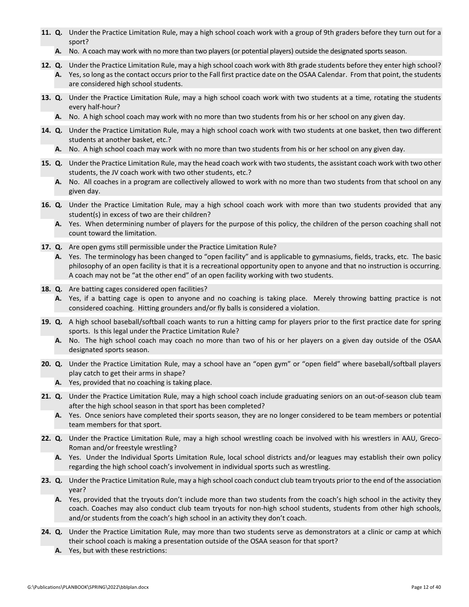- **11. Q.** Under the Practice Limitation Rule, may a high school coach work with a group of 9th graders before they turn out for a sport?
	- **A.** No. A coach may work with no more than two players (or potential players) outside the designated sports season.
- **12. Q.** Under the Practice Limitation Rule, may a high school coach work with 8th grade students before they enter high school? **A.** Yes, so long as the contact occurs prior to the Fall first practice date on the OSAA Calendar. From that point, the students are considered high school students.
- **13. Q.** Under the Practice Limitation Rule, may a high school coach work with two students at a time, rotating the students every half-hour?
	- **A.** No. A high school coach may work with no more than two students from his or her school on any given day.
- **14. Q.** Under the Practice Limitation Rule, may a high school coach work with two students at one basket, then two different students at another basket, etc.?
	- **A.** No. A high school coach may work with no more than two students from his or her school on any given day.
- **15. Q.** Under the Practice Limitation Rule, may the head coach work with two students, the assistant coach work with two other students, the JV coach work with two other students, etc.?
	- **A.** No. All coaches in a program are collectively allowed to work with no more than two students from that school on any given day.
- **16. Q***.* Under the Practice Limitation Rule, may a high school coach work with more than two students provided that any student(s) in excess of two are their children?
	- **A.** Yes. When determining number of players for the purpose of this policy, the children of the person coaching shall not count toward the limitation.
- **17. Q.** Are open gyms still permissible under the Practice Limitation Rule?
	- **A.** Yes. The terminology has been changed to "open facility" and is applicable to gymnasiums, fields, tracks, etc. The basic philosophy of an open facility is that it is a recreational opportunity open to anyone and that no instruction is occurring. A coach may not be "at the other end" of an open facility working with two students.
- **18. Q.** Are batting cages considered open facilities?
	- **A.** Yes, if a batting cage is open to anyone and no coaching is taking place. Merely throwing batting practice is not considered coaching. Hitting grounders and/or fly balls is considered a violation.
- **19. Q.** A high school baseball/softball coach wants to run a hitting camp for players prior to the first practice date for spring sports. Is this legal under the Practice Limitation Rule?
	- **A.** No. The high school coach may coach no more than two of his or her players on a given day outside of the OSAA designated sports season.
- **20. Q.** Under the Practice Limitation Rule, may a school have an "open gym" or "open field" where baseball/softball players play catch to get their arms in shape?
	- **A.** Yes, provided that no coaching is taking place.
- **21. Q.** Under the Practice Limitation Rule, may a high school coach include graduating seniors on an out-of-season club team after the high school season in that sport has been completed?
	- **A.** Yes. Once seniors have completed their sports season, they are no longer considered to be team members or potential team members for that sport.
- **22. Q.** Under the Practice Limitation Rule, may a high school wrestling coach be involved with his wrestlers in AAU, Greco-Roman and/or freestyle wrestling?
	- **A.** Yes. Under the Individual Sports Limitation Rule, local school districts and/or leagues may establish their own policy regarding the high school coach's involvement in individual sports such as wrestling.
- **23. Q.** Under the Practice Limitation Rule, may a high school coach conduct club team tryouts prior to the end of the association year?
	- **A.** Yes, provided that the tryouts don't include more than two students from the coach's high school in the activity they coach. Coaches may also conduct club team tryouts for non-high school students, students from other high schools, and/or students from the coach's high school in an activity they don't coach.
- **24. Q.** Under the Practice Limitation Rule, may more than two students serve as demonstrators at a clinic or camp at which their school coach is making a presentation outside of the OSAA season for that sport?
	- **A.** Yes, but with these restrictions: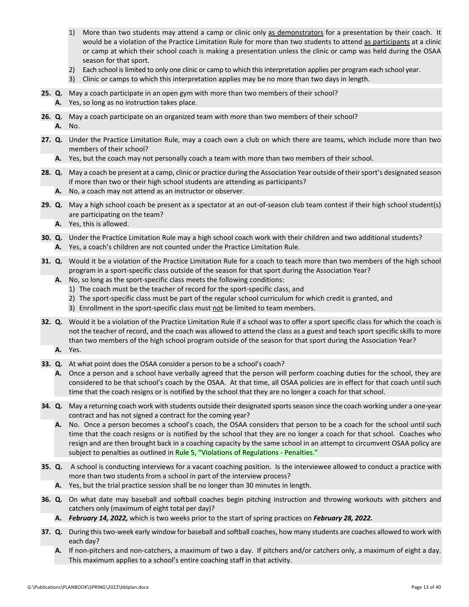- 1) More than two students may attend a camp or clinic only as demonstrators for a presentation by their coach. It would be a violation of the Practice Limitation Rule for more than two students to attend as participants at a clinic or camp at which their school coach is making a presentation unless the clinic or camp was held during the OSAA season for that sport.
- 2) Each school is limited to only one clinic or camp to which this interpretation applies per program each school year.
- 3) Clinic or camps to which this interpretation applies may be no more than two days in length.
- **25. Q.** May a coach participate in an open gym with more than two members of their school?
	- **A.** Yes, so long as no instruction takes place.
- **26. Q.** May a coach participate on an organized team with more than two members of their school?
	- **A.** No.
- **27. Q.** Under the Practice Limitation Rule, may a coach own a club on which there are teams, which include more than two members of their school?
	- **A.** Yes, but the coach may not personally coach a team with more than two members of their school.
- **28. Q.** May a coach be present at a camp, clinic or practice during the Association Year outside of their sport's designated season if more than two or their high school students are attending as participants?
	- **A.** No, a coach may not attend as an instructor or observer.
- **29. Q.** May a high school coach be present as a spectator at an out-of-season club team contest if their high school student(s) are participating on the team?
	- **A.** Yes, this is allowed.
- **30. Q.** Under the Practice Limitation Rule may a high school coach work with their children and two additional students? **A.** Yes, a coach's children are not counted under the Practice Limitation Rule.
- **31. Q.** Would it be a violation of the Practice Limitation Rule for a coach to teach more than two members of the high school program in a sport-specific class outside of the season for that sport during the Association Year?
	- **A.** No, so long as the sport-specific class meets the following conditions:
		- 1) The coach must be the teacher of record for the sport-specific class, and
		- 2) The sport-specific class must be part of the regular school curriculum for which credit is granted, and
		- 3) Enrollment in the sport-specific class must not be limited to team members.
- **32. Q.** Would it be a violation of the Practice Limitation Rule if a school was to offer a sport specific class for which the coach is not the teacher of record, and the coach was allowed to attend the class as a guest and teach sport specific skills to more than two members of the high school program outside of the season for that sport during the Association Year?
	- **A.** Yes.
- **33. Q.** At what point does the OSAA consider a person to be a school's coach?
	- **A.** Once a person and a school have verbally agreed that the person will perform coaching duties for the school, they are considered to be that school's coach by the OSAA. At that time, all OSAA policies are in effect for that coach until such time that the coach resigns or is notified by the school that they are no longer a coach for that school.
- **34. Q.** May a returning coach work with students outside their designated sports season since the coach working under a one-year contract and has not signed a contract for the coming year?
	- **A.** No. Once a person becomes a school's coach, the OSAA considers that person to be a coach for the school until such time that the coach resigns or is notified by the school that they are no longer a coach for that school. Coaches who resign and are then brought back in a coaching capacity by the same school in an attempt to circumvent OSAA policy are subject to penalties as outlined i[n Rule 5, "Violations of Regulations -](http://www.osaa.org/governance/handbooks/osaa#_Toc456100268) Penalties."
- **35. Q.** A school is conducting interviews for a vacant coaching position. Is the interviewee allowed to conduct a practice with more than two students from a school in part of the interview process?
	- **A.** Yes, but the trial practice session shall be no longer than 30 minutes in length.
- **36. Q.** On what date may baseball and softball coaches begin pitching instruction and throwing workouts with pitchers and catchers only (maximum of eight total per day)?
	- **A.** *February 14, 2022,* which is two weeks prior to the start of spring practices on *February 28, 2022.*
- **37. Q.** During this two-week early window for baseball and softball coaches, how many students are coaches allowed to work with each day?
	- **A.** If non-pitchers and non-catchers, a maximum of two a day. If pitchers and/or catchers only, a maximum of eight a day. This maximum applies to a school's entire coaching staff in that activity.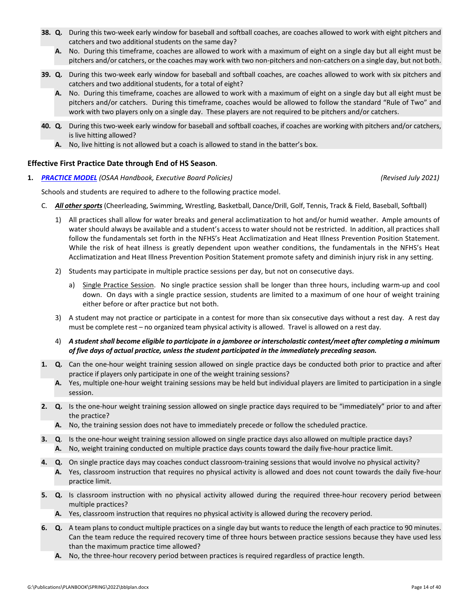- <span id="page-13-0"></span>**38.** Q. During this two-week early window for baseball and softball coaches, are coaches allowed to work with eight pitchers and catchers and two additional students on the same day?
	- **A.** No. During this timeframe, coaches are allowed to work with a maximum of eight on a single day but all eight must be pitchers and/or catchers, or the coaches may work with two non-pitchers and non-catchers on a single day, but not both.
- **39. Q.** During this two-week early window for baseball and softball coaches, are coaches allowed to work with six pitchers and catchers and two additional students, for a total of eight?
	- **A.** No. During this timeframe, coaches are allowed to work with a maximum of eight on a single day but all eight must be pitchers and/or catchers. During this timeframe, coaches would be allowed to follow the standard "Rule of Two" and work with two players only on a single day. These players are not required to be pitchers and/or catchers.
- **40. Q***.* During this two-week early window for baseball and softball coaches, if coaches are working with pitchers and/or catchers, is live hitting allowed?
	- **A.** No, live hitting is not allowed but a coach is allowed to stand in the batter's box.

# **Effective First Practice Date through End of HS Season**.

**1.** *[PRACTICE MODEL](http://www.osaa.org/governance/handbooks/osaa#_Toc456100422) (OSAA Handbook, Executive Board Policies) (Revised July 2021)*

Schools and students are required to adhere to the following practice model.

- C. *All other sports* (Cheerleading, Swimming, Wrestling, Basketball, Dance/Drill, Golf, Tennis, Track & Field, Baseball, Softball)
	- 1) All practices shall allow for water breaks and general acclimatization to hot and/or humid weather. Ample amounts of water should always be available and a student's access to water should not be restricted. In addition, all practices shall follow the fundamentals set forth in the NFHS's Heat Acclimatization and Heat Illness Prevention Position Statement. While the risk of heat illness is greatly dependent upon weather conditions, the fundamentals in the NFHS's Heat Acclimatization and Heat Illness Prevention Position Statement promote safety and diminish injury risk in any setting.
	- 2) Students may participate in multiple practice sessions per day, but not on consecutive days.
		- a) Single Practice Session. No single practice session shall be longer than three hours, including warm-up and cool down. On days with a single practice session, students are limited to a maximum of one hour of weight training either before or after practice but not both.
	- 3) A student may not practice or participate in a contest for more than six consecutive days without a rest day. A rest day must be complete rest – no organized team physical activity is allowed. Travel is allowed on a rest day.
	- 4) *A student shall become eligible to participate in a jamboree or interscholastic contest/meet after completing a minimum of five days of actual practice, unless the student participated in the immediately preceding season.*
- **1. Q.** Can the one-hour weight training session allowed on single practice days be conducted both prior to practice and after practice if players only participate in one of the weight training sessions?
	- **A.** Yes, multiple one-hour weight training sessions may be held but individual players are limited to participation in a single session.
- **2. Q.** Is the one-hour weight training session allowed on single practice days required to be "immediately" prior to and after the practice?
	- **A.** No, the training session does not have to immediately precede or follow the scheduled practice.
- **3. Q**. Is the one-hour weight training session allowed on single practice days also allowed on multiple practice days?
	- **A.** No, weight training conducted on multiple practice days counts toward the daily five-hour practice limit.
- **4. Q.** On single practice days may coaches conduct classroom-training sessions that would involve no physical activity?
	- **A.** Yes, classroom instruction that requires no physical activity is allowed and does not count towards the daily five-hour practice limit.
- **5. Q.** Is classroom instruction with no physical activity allowed during the required three-hour recovery period between multiple practices?
	- **A.** Yes, classroom instruction that requires no physical activity is allowed during the recovery period.
- **6. Q.** A team plans to conduct multiple practices on a single day but wants to reduce the length of each practice to 90 minutes. Can the team reduce the required recovery time of three hours between practice sessions because they have used less than the maximum practice time allowed?
	- **A.** No, the three-hour recovery period between practices is required regardless of practice length.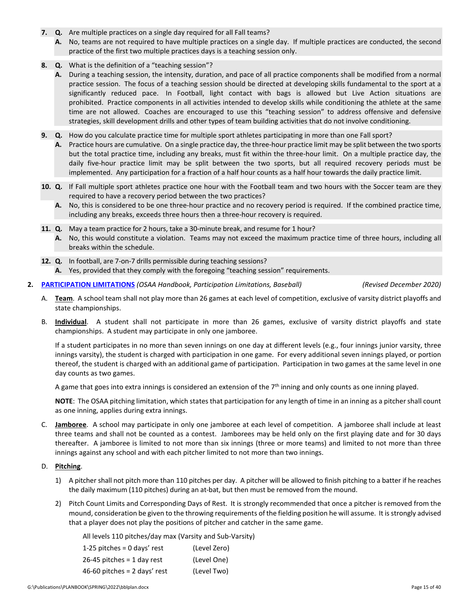- **7. Q.** Are multiple practices on a single day required for all Fall teams?
	- **A.** No, teams are not required to have multiple practices on a single day. If multiple practices are conducted, the second practice of the first two multiple practices days is a teaching session only.
- **8. Q.** What is the definition of a "teaching session"?
	- **A.** During a teaching session, the intensity, duration, and pace of all practice components shall be modified from a normal practice session. The focus of a teaching session should be directed at developing skills fundamental to the sport at a significantly reduced pace. In Football, light contact with bags is allowed but Live Action situations are prohibited. Practice components in all activities intended to develop skills while conditioning the athlete at the same time are not allowed. Coaches are encouraged to use this "teaching session" to address offensive and defensive strategies, skill development drills and other types of team building activities that do not involve conditioning.
- **9. Q.** How do you calculate practice time for multiple sport athletes participating in more than one Fall sport?
	- **A.** Practice hours are cumulative. On a single practice day, the three-hour practice limit may be split between the two sports but the total practice time, including any breaks, must fit within the three-hour limit. On a multiple practice day, the daily five-hour practice limit may be split between the two sports, but all required recovery periods must be implemented. Any participation for a fraction of a half hour counts as a half hour towards the daily practice limit.
- **10. Q.** If Fall multiple sport athletes practice one hour with the Football team and two hours with the Soccer team are they required to have a recovery period between the two practices?
	- **A.** No, this is considered to be one three-hour practice and no recovery period is required. If the combined practice time, including any breaks, exceeds three hours then a three-hour recovery is required.
- **11. Q.** May a team practice for 2 hours, take a 30-minute break, and resume for 1 hour?
	- **A.** No, this would constitute a violation. Teams may not exceed the maximum practice time of three hours, including all breaks within the schedule.
- **12. Q.** In football, are 7-on-7 drills permissible during teaching sessions?
	- **A.** Yes, provided that they comply with the foregoing "teaching session" requirements.
- **2. [PARTICIPATION LIMITATIONS](http://www.osaa.org/governance/handbooks/osaa#_Toc456100497)** *(OSAA Handbook, Participation Limitations, Baseball) (Revised December 2020)*

- A. **Team**. A school team shall not play more than 26 games at each level of competition, exclusive of varsity district playoffs and state championships.
- B. **Individual**. A student shall not participate in more than 26 games, exclusive of varsity district playoffs and state championships. A student may participate in only one jamboree.

If a student participates in no more than seven innings on one day at different levels (e.g., four innings junior varsity, three innings varsity), the student is charged with participation in one game. For every additional seven innings played, or portion thereof, the student is charged with an additional game of participation. Participation in two games at the same level in one day counts as two games.

A game that goes into extra innings is considered an extension of the  $7<sup>th</sup>$  inning and only counts as one inning played.

**NOTE**: The OSAA pitching limitation, which states that participation for any length of time in an inning as a pitcher shall count as one inning, applies during extra innings.

C. **Jamboree**. A school may participate in only one jamboree at each level of competition. A jamboree shall include at least three teams and shall not be counted as a contest. Jamborees may be held only on the first playing date and for 30 days thereafter. A jamboree is limited to not more than six innings (three or more teams) and limited to not more than three innings against any school and with each pitcher limited to not more than two innings.

# D. **Pitching**.

- 1) A pitcher shall not pitch more than 110 pitches per day. A pitcher will be allowed to finish pitching to a batter if he reaches the daily maximum (110 pitches) during an at-bat, but then must be removed from the mound.
- 2) Pitch Count Limits and Corresponding Days of Rest. It is strongly recommended that once a pitcher is removed from the mound, consideration be given to the throwing requirements of the fielding position he will assume. It is strongly advised that a player does not play the positions of pitcher and catcher in the same game.

All levels 110 pitches/day max (Varsity and Sub-Varsity)

| 1-25 pitches = $0$ days' rest  | (Level Zero) |
|--------------------------------|--------------|
| 26-45 pitches = $1$ day rest   | (Level One)  |
| 46-60 pitches = $2$ days' rest | (Level Two)  |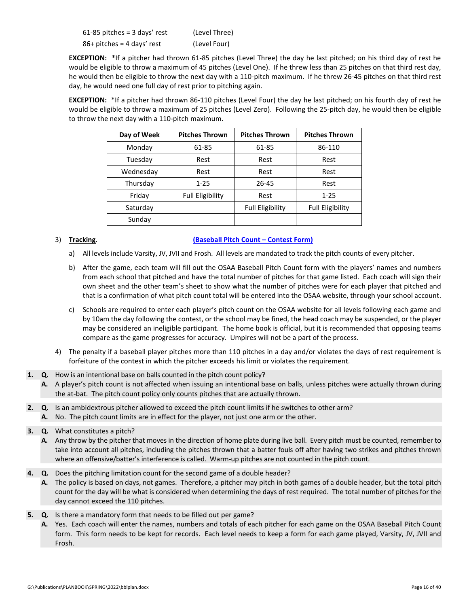| $61-85$ pitches = 3 days' rest | (Level Three) |
|--------------------------------|---------------|
| $86+$ pitches = 4 days' rest   | (Level Four)  |

**EXCEPTION:** \*If a pitcher had thrown 61-85 pitches (Level Three) the day he last pitched; on his third day of rest he would be eligible to throw a maximum of 45 pitches (Level One). If he threw less than 25 pitches on that third rest day, he would then be eligible to throw the next day with a 110-pitch maximum. If he threw 26-45 pitches on that third rest day, he would need one full day of rest prior to pitching again.

**EXCEPTION:** \*If a pitcher had thrown 86-110 pitches (Level Four) the day he last pitched; on his fourth day of rest he would be eligible to throw a maximum of 25 pitches (Level Zero). Following the 25-pitch day, he would then be eligible to throw the next day with a 110-pitch maximum.

| Day of Week | <b>Pitches Thrown</b>   | <b>Pitches Thrown</b>   | <b>Pitches Thrown</b>   |
|-------------|-------------------------|-------------------------|-------------------------|
| Monday      | 61-85                   | 61-85                   | 86-110                  |
| Tuesday     | Rest                    | Rest                    | Rest                    |
| Wednesday   | Rest                    | Rest                    | Rest                    |
| Thursday    | $1 - 25$                | 26-45                   | Rest                    |
| Friday      | <b>Full Eligibility</b> | Rest                    | $1 - 25$                |
| Saturday    |                         | <b>Full Eligibility</b> | <b>Full Eligibility</b> |
| Sunday      |                         |                         |                         |

# 3) **Tracking**. **[\(Baseball Pitch Count –](http://www.osaa.org/governance/forms) Contest Form)**

- a) All levels include Varsity, JV, JVII and Frosh. All levels are mandated to track the pitch counts of every pitcher.
- b) After the game, each team will fill out the OSAA Baseball Pitch Count form with the players' names and numbers from each school that pitched and have the total number of pitches for that game listed. Each coach will sign their own sheet and the other team's sheet to show what the number of pitches were for each player that pitched and that is a confirmation of what pitch count total will be entered into the OSAA website, through your school account.
- c) Schools are required to enter each player's pitch count on the OSAA website for all levels following each game and by 10am the day following the contest, or the school may be fined, the head coach may be suspended, or the player may be considered an ineligible participant. The home book is official, but it is recommended that opposing teams compare as the game progresses for accuracy. Umpires will not be a part of the process.
- 4) The penalty if a baseball player pitches more than 110 pitches in a day and/or violates the days of rest requirement is forfeiture of the contest in which the pitcher exceeds his limit or violates the requirement.
- **1. Q.** How is an intentional base on balls counted in the pitch count policy?
	- **A.** A player's pitch count is not affected when issuing an intentional base on balls, unless pitches were actually thrown during the at-bat. The pitch count policy only counts pitches that are actually thrown.
- **2. Q.** Is an ambidextrous pitcher allowed to exceed the pitch count limits if he switches to other arm?
	- **A.** No. The pitch count limits are in effect for the player, not just one arm or the other.
- **3. Q.** What constitutes a pitch?
	- **A.** Any throw by the pitcher that moves in the direction of home plate during live ball. Every pitch must be counted, remember to take into account all pitches, including the pitches thrown that a batter fouls off after having two strikes and pitches thrown where an offensive/batter's interference is called. Warm-up pitches are not counted in the pitch count.
- **4. Q.** Does the pitching limitation count for the second game of a double header?
	- **A.** The policy is based on days, not games. Therefore, a pitcher may pitch in both games of a double header, but the total pitch count for the day will be what is considered when determining the days of rest required. The total number of pitches for the day cannot exceed the 110 pitches.
- **5. Q.** Is there a mandatory form that needs to be filled out per game?
	- **A.** Yes. Each coach will enter the names, numbers and totals of each pitcher for each game on the OSAA Baseball Pitch Count form. This form needs to be kept for records. Each level needs to keep a form for each game played, Varsity, JV, JVII and Frosh.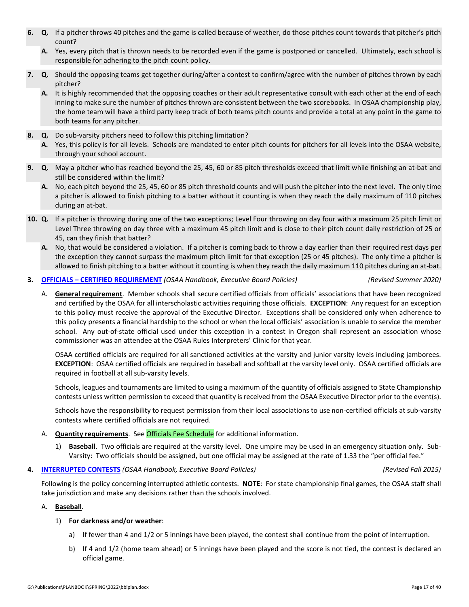- **6. Q.** If a pitcher throws 40 pitches and the game is called because of weather, do those pitches count towards that pitcher's pitch count?
	- **A.** Yes, every pitch that is thrown needs to be recorded even if the game is postponed or cancelled. Ultimately, each school is responsible for adhering to the pitch count policy.
- **7. Q.** Should the opposing teams get together during/after a contest to confirm/agree with the number of pitches thrown by each pitcher?
	- **A.** It is highly recommended that the opposing coaches or their adult representative consult with each other at the end of each inning to make sure the number of pitches thrown are consistent between the two scorebooks. In OSAA championship play, the home team will have a third party keep track of both teams pitch counts and provide a total at any point in the game to both teams for any pitcher.
- **8. Q.** Do sub-varsity pitchers need to follow this pitching limitation?
	- **A.** Yes, this policy is for all levels. Schools are mandated to enter pitch counts for pitchers for all levels into the OSAA website, through your school account.
- **9. Q.** May a pitcher who has reached beyond the 25, 45, 60 or 85 pitch thresholds exceed that limit while finishing an at-bat and still be considered within the limit?
	- **A.** No, each pitch beyond the 25, 45, 60 or 85 pitch threshold counts and will push the pitcher into the next level. The only time a pitcher is allowed to finish pitching to a batter without it counting is when they reach the daily maximum of 110 pitches during an at-bat.
- **10. Q.** If a pitcher is throwing during one of the two exceptions; Level Four throwing on day four with a maximum 25 pitch limit or Level Three throwing on day three with a maximum 45 pitch limit and is close to their pitch count daily restriction of 25 or 45, can they finish that batter?
	- **A.** No, that would be considered a violation. If a pitcher is coming back to throw a day earlier than their required rest days per the exception they cannot surpass the maximum pitch limit for that exception (25 or 45 pitches). The only time a pitcher is allowed to finish pitching to a batter without it counting is when they reach the daily maximum 110 pitches during an at-bat.

# **3. OFFICIALS – [CERTIFIED REQUIREMENT](http://www.osaa.org/governance/handbooks/osaa#_Toc456100409)** *(OSAA Handbook, Executive Board Policies) (Revised Summer 2020)*

A. **General requirement**.Member schools shall secure certified officials from officials' associations that have been recognized and certified by the OSAA for all interscholastic activities requiring those officials. **EXCEPTION**: Any request for an exception to this policy must receive the approval of the Executive Director. Exceptions shall be considered only when adherence to this policy presents a financial hardship to the school or when the local officials' association is unable to service the member school. Any out-of-state official used under this exception in a contest in Oregon shall represent an association whose commissioner was an attendee at the OSAA Rules Interpreters' Clinic for that year.

OSAA certified officials are required for all sanctioned activities at the varsity and junior varsity levels including jamborees. **EXCEPTION**: OSAA certified officials are required in baseball and softball at the varsity level only. OSAA certified officials are required in football at all sub-varsity levels.

Schools, leagues and tournaments are limited to using a maximum of the quantity of officials assigned to State Championship contests unless written permission to exceed that quantity is received from the OSAA Executive Director prior to the event(s).

Schools have the responsibility to request permission from their local associations to use non-certified officials at sub-varsity contests where certified officials are not required.

- A. **Quantity requirements**. Se[e Officials Fee Schedule](http://www.osaa.org/governance/handbooks/osaa#_Toc456100511) for additional information.
	- 1) **Baseball**. Two officials are required at the varsity level. One umpire may be used in an emergency situation only. Sub-Varsity: Two officials should be assigned, but one official may be assigned at the rate of 1.33 the "per official fee."

# **4. [INTERRUPTED CONTESTS](http://www.osaa.org/governance/handbooks/osaa#_Toc456100396)** *(OSAA Handbook, Executive Board Policies) (Revised Fall 2015)*

Following is the policy concerning interrupted athletic contests. **NOTE**: For state championship final games, the OSAA staff shall take jurisdiction and make any decisions rather than the schools involved.

# A. **Baseball***.*

# 1) **For darkness and/or weather**:

- a) If fewer than 4 and 1/2 or 5 innings have been played, the contest shall continue from the point of interruption.
- b) If 4 and 1/2 (home team ahead) or 5 innings have been played and the score is not tied, the contest is declared an official game.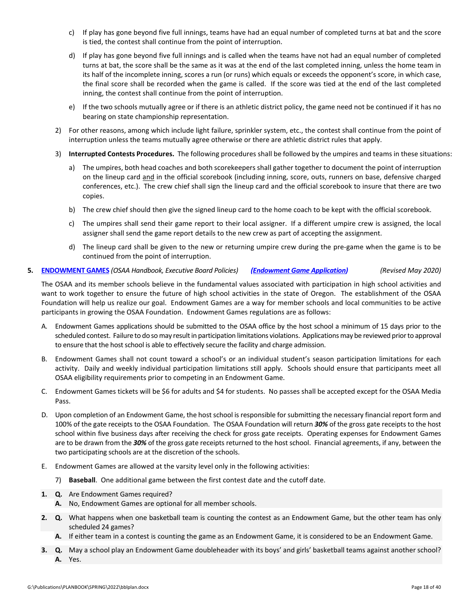- c) If play has gone beyond five full innings, teams have had an equal number of completed turns at bat and the score is tied, the contest shall continue from the point of interruption.
- d) If play has gone beyond five full innings and is called when the teams have not had an equal number of completed turns at bat, the score shall be the same as it was at the end of the last completed inning, unless the home team in its half of the incomplete inning, scores a run (or runs) which equals or exceeds the opponent's score, in which case, the final score shall be recorded when the game is called. If the score was tied at the end of the last completed inning, the contest shall continue from the point of interruption.
- e) If the two schools mutually agree or if there is an athletic district policy, the game need not be continued if it has no bearing on state championship representation.
- 2) For other reasons, among which include light failure, sprinkler system, etc., the contest shall continue from the point of interruption unless the teams mutually agree otherwise or there are athletic district rules that apply.
- 3) **Interrupted Contests Procedures.** The following procedures shall be followed by the umpires and teams in these situations:
	- a) The umpires, both head coaches and both scorekeepers shall gather together to document the point of interruption on the lineup card and in the official scorebook (including inning, score, outs, runners on base, defensive charged conferences, etc.). The crew chief shall sign the lineup card and the official scorebook to insure that there are two copies.
	- b) The crew chief should then give the signed lineup card to the home coach to be kept with the official scorebook.
	- c) The umpires shall send their game report to their local assigner. If a different umpire crew is assigned, the local assigner shall send the game report details to the new crew as part of accepting the assignment.
	- d) The lineup card shall be given to the new or returning umpire crew during the pre-game when the game is to be continued from the point of interruption.

# **5. [ENDOWMENT GAMES](http://www.osaa.org/governance/handbooks/osaa#_Toc456100362)** *(OSAA Handbook, Executive Board Policies) [\(Endowment Game Application\)](http://www.osaa.org/governance/forms) (Revised May 2020)*

The OSAA and its member schools believe in the fundamental values associated with participation in high school activities and want to work together to ensure the future of high school activities in the state of Oregon. The establishment of the OSAA Foundation will help us realize our goal. Endowment Games are a way for member schools and local communities to be active participants in growing the OSAA Foundation. Endowment Games regulations are as follows:

- A. Endowment Games applications should be submitted to the OSAA office by the host school a minimum of 15 days prior to the scheduled contest. Failure to do so may result in participation limitations violations. Applications may be reviewed prior to approval to ensure that the host school is able to effectively secure the facility and charge admission.
- B. Endowment Games shall not count toward a school's or an individual student's season participation limitations for each activity. Daily and weekly individual participation limitations still apply. Schools should ensure that participants meet all OSAA eligibility requirements prior to competing in an Endowment Game.
- C. Endowment Games tickets will be \$6 for adults and \$4 for students. No passes shall be accepted except for the OSAA Media Pass.
- D. Upon completion of an Endowment Game, the host school is responsible for submitting the necessary financial report form and 100% of the gate receipts to the OSAA Foundation. The OSAA Foundation will return *30%* of the gross gate receipts to the host school within five business days after receiving the check for gross gate receipts. Operating expenses for Endowment Games are to be drawn from the *30%* of the gross gate receipts returned to the host school. Financial agreements, if any, between the two participating schools are at the discretion of the schools.
- E. Endowment Games are allowed at the varsity level only in the following activities:
	- 7) **Baseball**. One additional game between the first contest date and the cutoff date.
- **1. Q.** Are Endowment Games required?
	- **A.** No, Endowment Games are optional for all member schools.
- **2. Q.** What happens when one basketball team is counting the contest as an Endowment Game, but the other team has only scheduled 24 games?
	- **A.** If either team in a contest is counting the game as an Endowment Game, it is considered to be an Endowment Game.
- **3. Q.** May a school play an Endowment Game doubleheader with its boys' and girls' basketball teams against another school? **A.** Yes.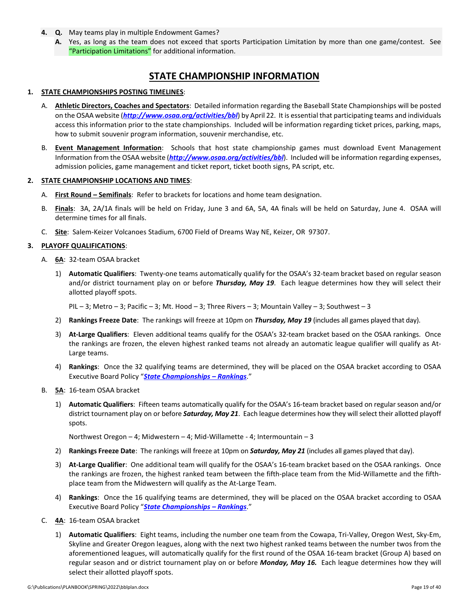- **4. Q.** May teams play in multiple Endowment Games?
	- **A.** Yes, as long as the team does not exceed that sports Participation Limitation by more than one game/contest. See ["Participation Limitations"](http://www.osaa.org/governance/handbooks/osaa#_Toc456100497) for additional information.

# **STATE CHAMPIONSHIP INFORMATION**

# **1. STATE CHAMPIONSHIPS POSTING TIMELINES**:

- A. **Athletic Directors, Coaches and Spectators**: Detailed information regarding the Baseball State Championships will be posted on the OSAA website (*[http://www.osaa.org/activities/bbl](http://www.osaa.org/actvities/bbl)*) by April 22. It is essential that participating teams and individuals access this information prior to the state championships. Included will be information regarding ticket prices, parking, maps, how to submit souvenir program information, souvenir merchandise, etc.
- B. **Event Management Information**: Schools that host state championship games must download Event Management Information from the OSAA website (*[http://www.osaa.org/activities/bbl](http://www.osaa.org/actvities/bbl)*). Included will be information regarding expenses, admission policies, game management and ticket report, ticket booth signs, PA script, etc.

### **2. STATE CHAMPIONSHIP LOCATIONS AND TIMES**:

- A. **First Round – Semifinals**: Refer to brackets for locations and home team designation.
- B. **Finals**: 3A, 2A/1A finals will be held on Friday, June 3 and 6A, 5A, 4A finals will be held on Saturday, June 4. OSAA will determine times for all finals.
- C. **Site**: Salem-Keizer Volcanoes Stadium, 6700 Field of Dreams Way NE, Keizer, OR 97307.

# **3. PLAYOFF QUALIFICATIONS**:

- A. **6A**: 32-team OSAA bracket
	- 1) **Automatic Qualifiers**: Twenty-one teams automatically qualify for the OSAA's 32-team bracket based on regular season and/or district tournament play on or before *Thursday, May 19*. Each league determines how they will select their allotted playoff spots.

PIL – 3; Metro – 3; Pacific – 3; Mt. Hood – 3; Three Rivers – 3; Mountain Valley – 3; Southwest – 3

- 2) **Rankings Freeze Date**: The rankings will freeze at 10pm on *Thursday, May 19* (includes all games played that day).
- 3) **At-Large Qualifiers**: Eleven additional teams qualify for the OSAA's 32-team bracket based on the OSAA rankings. Once the rankings are frozen, the eleven highest ranked teams not already an automatic league qualifier will qualify as At-Large teams.
- 4) **Rankings**: Once the 32 qualifying teams are determined, they will be placed on the OSAA bracket according to OSAA Executive Board Policy "*[State Championships –](http://www.osaa.org/governance/handbooks/osaa#_Toc456100456) Rankings*."
- B. **5A**: 16-team OSAA bracket
	- 1) **Automatic Qualifiers**: Fifteen teams automatically qualify for the OSAA's 16-team bracket based on regular season and/or district tournament play on or before *Saturday, May 21*. Each league determines how they will select their allotted playoff spots.

Northwest Oregon – 4; Midwestern – 4; Mid-Willamette - 4; Intermountain – 3

- 2) **Rankings Freeze Date**: The rankings will freeze at 10pm on *Saturday, May 21* (includes all games played that day).
- 3) **At-Large Qualifier**: One additional team will qualify for the OSAA's 16-team bracket based on the OSAA rankings. Once the rankings are frozen, the highest ranked team between the fifth-place team from the Mid-Willamette and the fifthplace team from the Midwestern will qualify as the At-Large Team.
- 4) **Rankings**: Once the 16 qualifying teams are determined, they will be placed on the OSAA bracket according to OSAA Executive Board Policy "*[State Championships –](http://www.osaa.org/governance/handbooks/osaa#_Toc456100456) Rankings*."
- C. **4A**: 16-team OSAA bracket
	- 1) **Automatic Qualifiers**: Eight teams, including the number one team from the Cowapa, Tri-Valley, Oregon West, Sky-Em, Skyline and Greater Oregon leagues, along with the next two highest ranked teams between the number twos from the aforementioned leagues, will automatically qualify for the first round of the OSAA 16-team bracket (Group A) based on regular season and or district tournament play on or before *Monday, May 16.* Each league determines how they will select their allotted playoff spots.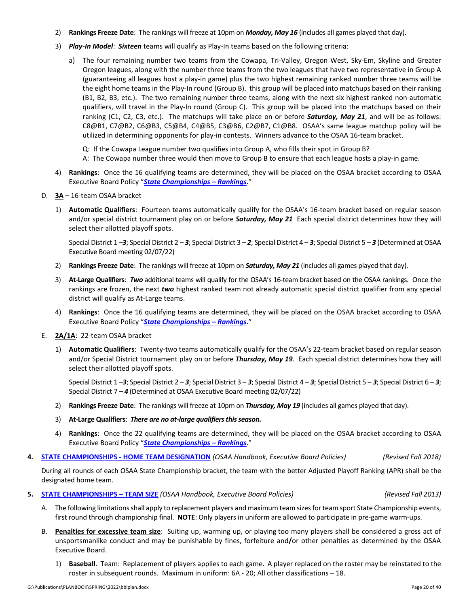- 2) **Rankings Freeze Date**: The rankings will freeze at 10pm on *Monday, May 16* (includes all games played that day).
- 3) *Play-In Model*: *Sixteen* teams will qualify as Play-In teams based on the following criteria:
	- a) The four remaining number two teams from the Cowapa, Tri-Valley, Oregon West, Sky-Em, Skyline and Greater Oregon leagues, along with the number three teams from the two leagues that have two representative in Group A (guaranteeing all leagues host a play-in game) plus the two highest remaining ranked number three teams will be the eight home teams in the Play-In round (Group B). this group will be placed into matchups based on their ranking (B1, B2, B3, etc.). The two remaining number three teams, along with the next six highest ranked non-automatic qualifiers, will travel in the Play-In round (Group C). This group will be placed into the matchups based on their ranking (C1, C2, C3, etc.). The matchups will take place on or before *Saturday, May 21*, and will be as follows: C8@B1, C7@B2, C6@B3, C5@B4, C4@B5, C3@B6, C2@B7, C1@B8. OSAA's same league matchup policy will be utilized in determining opponents for play-in contests. Winners advance to the OSAA 16-team bracket.

Q: If the Cowapa League number two qualifies into Group A, who fills their spot in Group B?

- A: The Cowapa number three would then move to Group B to ensure that each league hosts a play-in game.
- 4) **Rankings**: Once the 16 qualifying teams are determined, they will be placed on the OSAA bracket according to OSAA Executive Board Policy "*[State Championships –](http://www.osaa.org/governance/handbooks/osaa#_Toc456100456) Rankings*."
- D. **3A** 16-team OSAA bracket
	- 1) **Automatic Qualifiers**: Fourteen teams automatically qualify for the OSAA's 16-team bracket based on regular season and/or special district tournament play on or before *Saturday, May 21* Each special district determines how they will select their allotted playoff spots.

Special District 1 –*3*; Special District 2 – *3*; Special District 3 – *2*; Special District 4 – *3*; Special District 5 – *3* (Determined at OSAA Executive Board meeting 02/07/22)

- 2) **Rankings Freeze Date**: The rankings will freeze at 10pm on *Saturday, May 21* (includes all games played that day).
- 3) **At-Large Qualifiers**: *Two* additional teams will qualify for the OSAA's 16-team bracket based on the OSAA rankings. Once the rankings are frozen, the next *two* highest ranked team not already automatic special district qualifier from any special district will qualify as At-Large teams.
- 4) **Rankings**: Once the 16 qualifying teams are determined, they will be placed on the OSAA bracket according to OSAA Executive Board Policy "*[State Championships –](http://www.osaa.org/governance/handbooks/osaa#_Toc456100456) Rankings*."
- E. **2A/1A**: 22-team OSAA bracket
	- 1) **Automatic Qualifiers**: Twenty-two teams automatically qualify for the OSAA's 22-team bracket based on regular season and/or Special District tournament play on or before *Thursday, May 19*. Each special district determines how they will select their allotted playoff spots.

Special District 1 –*3*; Special District 2 – *3*; Special District 3 – *3*; Special District 4 – *3*; Special District 5 – *3*; Special District 6 – *3*; Special District 7 – *4* (Determined at OSAA Executive Board meeting 02/07/22)

- 2) **Rankings Freeze Date**: The rankings will freeze at 10pm on *Thursday, May 19* (includes all games played that day).
- 3) **At-Large Qualifiers**: *There are no at-large qualifiers this season.*
- 4) **Rankings**: Once the 22 qualifying teams are determined, they will be placed on the OSAA bracket according to OSAA Executive Board Policy "*[State Championships –](http://www.osaa.org/governance/handbooks/osaa#_Toc456100456) Rankings*."
- **4. STATE CHAMPIONSHIPS - [HOME TEAM DESIGNATION](http://www.osaa.org/governance/handbooks/osaa#_Toc456100447)** *(OSAA Handbook, Executive Board Policies) (Revised Fall 2018)*

During all rounds of each OSAA State Championship bracket, the team with the better Adjusted Playoff Ranking (APR) shall be the designated home team.

**5. [STATE CHAMPIONSHIPS –](http://www.osaa.org/governance/handbooks/osaa#_Toc456100459) TEAM SIZE** *(OSAA Handbook, Executive Board Policies) (Revised Fall 2013)*

- A. The following limitations shall apply to replacement players and maximum team sizes for team sport State Championship events, first round through championship final. **NOTE**: Only players in uniform are allowed to participate in pre-game warm-ups.
- B. **Penalties for excessive team size**: Suiting up, warming up, or playing too many players shall be considered a gross act of unsportsmanlike conduct and may be punishable by fines, forfeiture and**/**or other penalties as determined by the OSAA Executive Board.
	- 1) **Baseball**. Team: Replacement of players applies to each game. A player replaced on the roster may be reinstated to the roster in subsequent rounds. Maximum in uniform: 6A - 20; All other classifications – 18.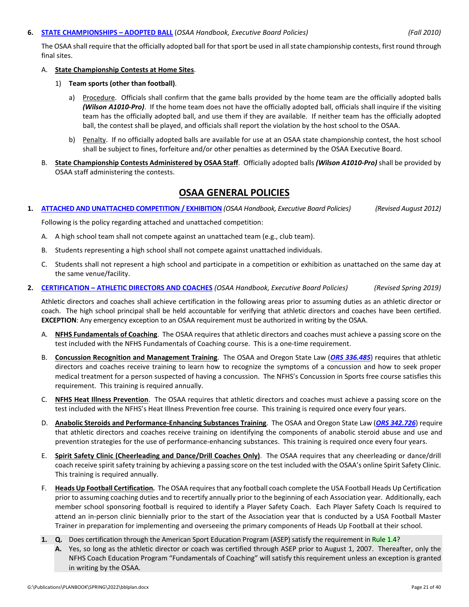## **6. [STATE CHAMPIONSHIPS –](http://www.osaa.org/governance/handbooks/osaa#_Toc456100435) ADOPTED BALL** (*OSAA Handbook, Executive Board Policies) (Fall 2010)*

The OSAA shall require that the officially adopted ball for that sport be used in all state championship contests, first round through final sites.

# A. **State Championship Contests at Home Sites**.

- 1) **Team sports (other than football)**.
	- a) Procedure. Officials shall confirm that the game balls provided by the home team are the officially adopted balls *(Wilson A1010-Pro)*. If the home team does not have the officially adopted ball, officials shall inquire if the visiting team has the officially adopted ball, and use them if they are available. If neither team has the officially adopted ball, the contest shall be played, and officials shall report the violation by the host school to the OSAA.
	- b) Penalty. If no officially adopted balls are available for use at an OSAA state championship contest, the host school shall be subject to fines, forfeiture and/or other penalties as determined by the OSAA Executive Board.
- B. **State Championship Contests Administered by OSAA Staff**. Officially adopted balls *(Wilson A1010-Pro)* shall be provided by OSAA staff administering the contests.

# **OSAA GENERAL POLICIES**

**1. [ATTACHED AND UNATTACHED COMPETITION / EXHIBITION](http://www.osaa.org/governance/handbooks/osaa#_Toc456100326)** *(OSAA Handbook, Executive Board Policies) (Revised August 2012)*

Following is the policy regarding attached and unattached competition:

- A. A high school team shall not compete against an unattached team (e.g., club team).
- B. Students representing a high school shall not compete against unattached individuals.
- C. Students shall not represent a high school and participate in a competition or exhibition as unattached on the same day at the same venue/facility.
- **2. CERTIFICATION – [ATHLETIC DIRECTORS AND COACHES](http://www.osaa.org/governance/handbooks/osaa#_Toc456100330)** *(OSAA Handbook, Executive Board Policies) (Revised Spring 2019)*

Athletic directors and coaches shall achieve certification in the following areas prior to assuming duties as an athletic director or coach. The high school principal shall be held accountable for verifying that athletic directors and coaches have been certified. **EXCEPTION**: Any emergency exception to an OSAA requirement must be authorized in writing by the OSAA.

- A. **NFHS Fundamentals of Coaching**. The OSAA requires that athletic directors and coaches must achieve a passing score on the test included with the NFHS Fundamentals of Coaching course. This is a one-time requirement.
- B. **Concussion Recognition and Management Training**. The OSAA and Oregon State Law (*[ORS 336.485](https://www.oregonlegislature.gov/bills_laws/Pages/Oregon-Laws.aspx)*) requires that athletic directors and coaches receive training to learn how to recognize the symptoms of a concussion and how to seek proper medical treatment for a person suspected of having a concussion. The NFHS's Concussion in Sports free course satisfies this requirement. This training is required annually.
- C. **NFHS Heat Illness Prevention**. The OSAA requires that athletic directors and coaches must achieve a passing score on the test included with the NFHS's Heat Illness Prevention free course. This training is required once every four years.
- D. **Anabolic Steroids and Performance-Enhancing Substances Training**. The OSAA and Oregon State Law (*[ORS 342.726](https://www.oregonlegislature.gov/bills_laws/Pages/Oregon-Laws.aspx)*) require that athletic directors and coaches receive training on identifying the components of anabolic steroid abuse and use and prevention strategies for the use of performance-enhancing substances. This training is required once every four years.
- E. **Spirit Safety Clinic (Cheerleading and Dance/Drill Coaches Only)**. The OSAA requires that any cheerleading or dance/drill coach receive spirit safety training by achieving a passing score on the test included with the OSAA's online Spirit Safety Clinic. This training is required annually.
- F. **Heads Up Football Certification***.*The OSAA requires that any football coach complete the USA Football Heads Up Certification prior to assuming coaching duties and to recertify annually prior to the beginning of each Association year. Additionally, each member school sponsoring football is required to identify a Player Safety Coach. Each Player Safety Coach Is required to attend an in-person clinic biennially prior to the start of the Association year that is conducted by a USA Football Master Trainer in preparation for implementing and overseeing the primary components of Heads Up Football at their school.
- **1. Q.** Does certification through the American Sport Education Program (ASEP) satisfy the requirement i[n Rule 1.4?](http://www.osaa.org/governance/handbooks/osaa#_Toc456100264)
	- **A.** Yes, so long as the athletic director or coach was certified through ASEP prior to August 1, 2007. Thereafter, only the NFHS Coach Education Program "Fundamentals of Coaching" will satisfy this requirement unless an exception is granted in writing by the OSAA.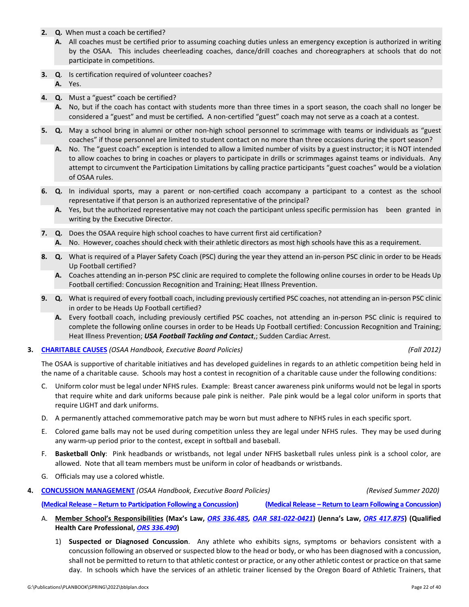**2. Q.** When must a coach be certified?

- **A.** All coaches must be certified prior to assuming coaching duties unless an emergency exception is authorized in writing by the OSAA. This includes cheerleading coaches, dance/drill coaches and choreographers at schools that do not participate in competitions.
- **3. Q**. Is certification required of volunteer coaches?

**A.** Yes.

- **4. Q.** Must a "guest" coach be certified?
	- **A.** No, but if the coach has contact with students more than three times in a sport season, the coach shall no longer be considered a "guest" and must be certified*.* A non-certified "guest" coach may not serve as a coach at a contest.
- **5. Q.** May a school bring in alumni or other non-high school personnel to scrimmage with teams or individuals as "guest coaches" if those personnel are limited to student contact on no more than three occasions during the sport season?
	- **A.** No. The "guest coach" exception is intended to allow a limited number of visits by a guest instructor; it is NOT intended to allow coaches to bring in coaches or players to participate in drills or scrimmages against teams or individuals. Any attempt to circumvent the Participation Limitations by calling practice participants "guest coaches" would be a violation of OSAA rules.
- **6. Q.** In individual sports, may a parent or non-certified coach accompany a participant to a contest as the school representative if that person is an authorized representative of the principal?
	- **A.** Yes, but the authorized representative may not coach the participant unless specific permission has been granted in writing by the Executive Director.
- **7. Q.** Does the OSAA require high school coaches to have current first aid certification?
	- **A.** No. However, coaches should check with their athletic directors as most high schools have this as a requirement.
- **8. Q.** What is required of a Player Safety Coach (PSC) during the year they attend an in-person PSC clinic in order to be Heads Up Football certified?
	- **A.** Coaches attending an in-person PSC clinic are required to complete the following online courses in order to be Heads Up Football certified: Concussion Recognition and Training; Heat Illness Prevention.
- **9. Q.** What is required of every football coach, including previously certified PSC coaches, not attending an in-person PSC clinic in order to be Heads Up Football certified?
	- **A.** Every football coach, including previously certified PSC coaches, not attending an in-person PSC clinic is required to complete the following online courses in order to be Heads Up Football certified: Concussion Recognition and Training; Heat Illness Prevention; *USA Football Tackling and Contact*,; Sudden Cardiac Arrest.
- **3. [CHARITABLE CAUSES](http://www.osaa.org/governance/handbooks/osaa#_Toc456100331)** *(OSAA Handbook, Executive Board Policies) (Fall 2012)*

The OSAA is supportive of charitable initiatives and has developed guidelines in regards to an athletic competition being held in the name of a charitable cause. Schools may host a contest in recognition of a charitable cause under the following conditions:

- C. Uniform color must be legal under NFHS rules. Example: Breast cancer awareness pink uniforms would not be legal in sports that require white and dark uniforms because pale pink is neither. Pale pink would be a legal color uniform in sports that require LIGHT and dark uniforms.
- D. A permanently attached commemorative patch may be worn but must adhere to NFHS rules in each specific sport.
- E. Colored game balls may not be used during competition unless they are legal under NFHS rules. They may be used during any warm-up period prior to the contest, except in softball and baseball.
- F. **Basketball Only**: Pink headbands or wristbands, not legal under NFHS basketball rules unless pink is a school color, are allowed. Note that all team members must be uniform in color of headbands or wristbands.
- G. Officials may use a colored whistle.
- **4. [CONCUSSION MANAGEMENT](http://www.osaa.org/governance/handbooks/osaa#_Toc456100338)** *(OSAA Handbook, Executive Board Policies) (Revised Summer 2020)*

**(Medical Release – [Return to Participation Following a Concussion\)](http://www.osaa.org/governance/forms) (Medical Release – Return to Learn Following a Concussion)**

- A. **[Member School's Responsibilities](https://www.oregonlegislature.gov/bills_laws/Pages/Oregon-Laws.aspx) (Max's Law,** *ORS 336.485, OAR 581-022-0421***) (Jenna's Law,** *ORS 417.875***) (Qualified Health Care Professional,** *ORS 336.490***)**
	- 1) **Suspected or Diagnosed Concussion**.Any athlete who exhibits signs, symptoms or behaviors consistent with a concussion following an observed or suspected blow to the head or body, or who has been diagnosed with a concussion, shall not be permitted to return to that athletic contest or practice, or any other athletic contest or practice on that same day. In schools which have the services of an athletic trainer licensed by the Oregon Board of Athletic Trainers, that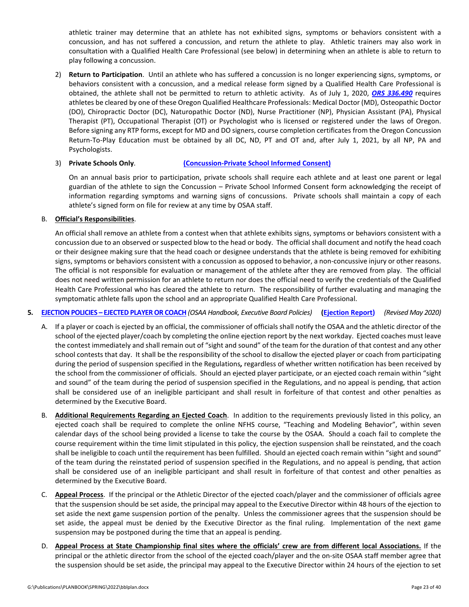athletic trainer may determine that an athlete has not exhibited signs, symptoms or behaviors consistent with a concussion, and has not suffered a concussion, and return the athlete to play. Athletic trainers may also work in consultation with a Qualified Health Care Professional (see below) in determining when an athlete is able to return to play following a concussion.

2) **Return to Participation**. Until an athlete who has suffered a concussion is no longer experiencing signs, symptoms, or behaviors consistent with a concussion, and a medical release form signed by a Qualified Health Care Professional is obtained, the athlete shall not be permitted to return to athletic activity. As of July 1, 2020, *[ORS 336.490](https://www.oregonlegislature.gov/bills_laws/Pages/Oregon-Laws.aspx)* requires athletes be cleared by one of these Oregon Qualified Healthcare Professionals: Medical Doctor (MD), Osteopathic Doctor (DO), Chiropractic Doctor (DC), Naturopathic Doctor (ND), Nurse Practitioner (NP), Physician Assistant (PA), Physical Therapist (PT), Occupational Therapist (OT) or Psychologist who is licensed or registered under the laws of Oregon. Before signing any RTP forms, except for MD and DO signers, course completion certificates from the Oregon Concussion Return-To-Play Education must be obtained by all DC, ND, PT and OT and, after July 1, 2021, by all NP, PA and Psychologists.

# 3) **Private Schools Only**. **[\(Concussion-Private School Informed Consent\)](http://www.osaa.org/governance/forms)**

On an annual basis prior to participation, private schools shall require each athlete and at least one parent or legal guardian of the athlete to sign the Concussion – Private School Informed Consent form acknowledging the receipt of information regarding symptoms and warning signs of concussions. Private schools shall maintain a copy of each athlete's signed form on file for review at any time by OSAA staff.

# B. **Official's Responsibilities**.

An official shall remove an athlete from a contest when that athlete exhibits signs, symptoms or behaviors consistent with a concussion due to an observed or suspected blow to the head or body. The official shall document and notify the head coach or their designee making sure that the head coach or designee understands that the athlete is being removed for exhibiting signs, symptoms or behaviors consistent with a concussion as opposed to behavior, a non-concussive injury or other reasons. The official is not responsible for evaluation or management of the athlete after they are removed from play. The official does not need written permission for an athlete to return nor does the official need to verify the credentials of the Qualified Health Care Professional who has cleared the athlete to return. The responsibility of further evaluating and managing the symptomatic athlete falls upon the school and an appropriate Qualified Health Care Professional.

# **5. EJECTION POLICIES – [EJECTED PLAYER OR COACH](http://www.osaa.org/governance/handbooks/osaa#_Toc456100349)** *(OSAA Handbook, Executive Board Policies)* **[\(Ejection Report\)](http://www.osaa.org/governance/forms)** *(Revised May 2020)*

- A. If a player or coach is ejected by an official, the commissioner of officials shall notify the OSAA and the athletic director of the school of the ejected player/coach by completing the online ejection report by the next workday. Ejected coaches must leave the contest immediately and shall remain out of "sight and sound" of the team for the duration of that contest and any other school contests that day. It shall be the responsibility of the school to disallow the ejected player or coach from participating during the period of suspension specified in the Regulations*,* regardless of whether written notification has been received by the school from the commissioner of officials. Should an ejected player participate, or an ejected coach remain within "sight and sound" of the team during the period of suspension specified in the Regulations, and no appeal is pending, that action shall be considered use of an ineligible participant and shall result in forfeiture of that contest and other penalties as determined by the Executive Board.
- B. **Additional Requirements Regarding an Ejected Coach**. In addition to the requirements previously listed in this policy, an ejected coach shall be required to complete the online NFHS course, "Teaching and Modeling Behavior", within seven calendar days of the school being provided a license to take the course by the OSAA. Should a coach fail to complete the course requirement within the time limit stipulated in this policy, the ejection suspension shall be reinstated, and the coach shall be ineligible to coach until the requirement has been fulfilled. Should an ejected coach remain within "sight and sound" of the team during the reinstated period of suspension specified in the Regulations, and no appeal is pending, that action shall be considered use of an ineligible participant and shall result in forfeiture of that contest and other penalties as determined by the Executive Board.
- C. **Appeal Process**. If the principal or the Athletic Director of the ejected coach/player and the commissioner of officials agree that the suspension should be set aside, the principal may appeal to the Executive Director within 48 hours of the ejection to set aside the next game suspension portion of the penalty. Unless the commissioner agrees that the suspension should be set aside, the appeal must be denied by the Executive Director as the final ruling. Implementation of the next game suspension may be postponed during the time that an appeal is pending.
- D. **Appeal Process at State Championship final sites where the officials' crew are from different local Associations.** If the principal or the athletic director from the school of the ejected coach/player and the on-site OSAA staff member agree that the suspension should be set aside, the principal may appeal to the Executive Director within 24 hours of the ejection to set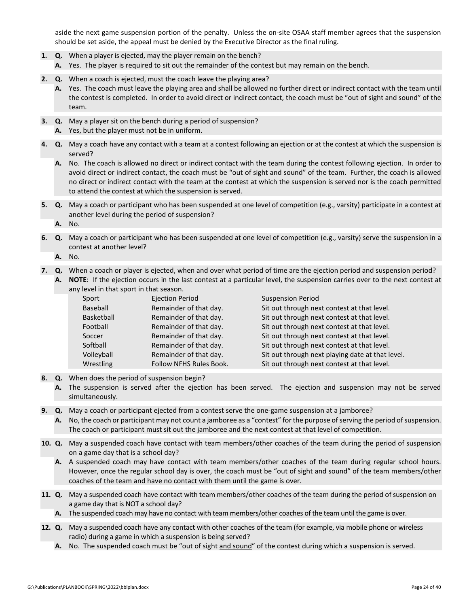aside the next game suspension portion of the penalty. Unless the on-site OSAA staff member agrees that the suspension should be set aside, the appeal must be denied by the Executive Director as the final ruling.

- **1. Q.** When a player is ejected, may the player remain on the bench?
	- **A.** Yes. The player is required to sit out the remainder of the contest but may remain on the bench.
- **2. Q.** When a coach is ejected, must the coach leave the playing area?
	- **A.** Yes. The coach must leave the playing area and shall be allowed no further direct or indirect contact with the team until the contest is completed. In order to avoid direct or indirect contact, the coach must be "out of sight and sound" of the team.
- **3. Q.** May a player sit on the bench during a period of suspension?
	- **A.** Yes, but the player must not be in uniform.
- **4. Q.** May a coach have any contact with a team at a contest following an ejection or at the contest at which the suspension is served?
	- **A.** No. The coach is allowed no direct or indirect contact with the team during the contest following ejection. In order to avoid direct or indirect contact, the coach must be "out of sight and sound" of the team. Further, the coach is allowed no direct or indirect contact with the team at the contest at which the suspension is served nor is the coach permitted to attend the contest at which the suspension is served.
- **5. Q.** May a coach or participant who has been suspended at one level of competition (e.g., varsity) participate in a contest at another level during the period of suspension?

**A.** No.

**6. Q.** May a coach or participant who has been suspended at one level of competition (e.g., varsity) serve the suspension in a contest at another level?

**A.** No.

- **7. Q.** When a coach or player is ejected, when and over what period of time are the ejection period and suspension period?
	- **A. NOTE**: If the ejection occurs in the last contest at a particular level, the suspension carries over to the next contest at any level in that sport in that season.

| Sport             | <b>Ejection Period</b>         | <b>Suspension Period</b>                         |
|-------------------|--------------------------------|--------------------------------------------------|
| Baseball          | Remainder of that day.         | Sit out through next contest at that level.      |
| <b>Basketball</b> | Remainder of that day.         | Sit out through next contest at that level.      |
| Football          | Remainder of that day.         | Sit out through next contest at that level.      |
| Soccer            | Remainder of that day.         | Sit out through next contest at that level.      |
| Softball          | Remainder of that day.         | Sit out through next contest at that level.      |
| Volleyball        | Remainder of that day.         | Sit out through next playing date at that level. |
| Wrestling         | <b>Follow NFHS Rules Book.</b> | Sit out through next contest at that level.      |

- **8. Q.** When does the period of suspension begin?
	- **A.** The suspension is served after the ejection has been served. The ejection and suspension may not be served simultaneously.
- **9. Q.** May a coach or participant ejected from a contest serve the one-game suspension at a jamboree?
	- **A.** No, the coach or participant may not count a jamboree as a "contest" for the purpose of serving the period of suspension. The coach or participant must sit out the jamboree and the next contest at that level of competition.
- **10. Q.** May a suspended coach have contact with team members/other coaches of the team during the period of suspension on a game day that is a school day?
	- **A.** A suspended coach may have contact with team members/other coaches of the team during regular school hours. However, once the regular school day is over, the coach must be "out of sight and sound" of the team members/other coaches of the team and have no contact with them until the game is over.
- **11. Q.** May a suspended coach have contact with team members/other coaches of the team during the period of suspension on a game day that is NOT a school day?
	- **A.** The suspended coach may have no contact with team members/other coaches of the team until the game is over.
- **12. Q.** May a suspended coach have any contact with other coaches of the team (for example, via mobile phone or wireless radio) during a game in which a suspension is being served?
	- **A.** No. The suspended coach must be "out of sight and sound" of the contest during which a suspension is served.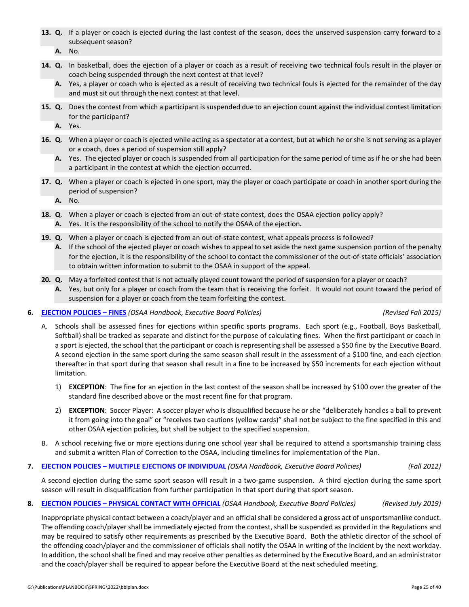- **13. Q.** If a player or coach is ejected during the last contest of the season, does the unserved suspension carry forward to a subsequent season?
	- **A.** No.
- **14. Q.** In basketball, does the ejection of a player or coach as a result of receiving two technical fouls result in the player or coach being suspended through the next contest at that level?
	- **A.** Yes, a player or coach who is ejected as a result of receiving two technical fouls is ejected for the remainder of the day and must sit out through the next contest at that level.
- **15. Q.** Does the contest from which a participant is suspended due to an ejection count against the individual contest limitation for the participant?
	- **A.** Yes.
- **16. Q***.* When a player or coach is ejected while acting as a spectator at a contest, but at which he or she is not serving as a player or a coach, does a period of suspension still apply?
	- **A.** Yes. The ejected player or coach is suspended from all participation for the same period of time as if he or she had been a participant in the contest at which the ejection occurred.
- **17. Q.** When a player or coach is ejected in one sport, may the player or coach participate or coach in another sport during the period of suspension?
	- **A.** No.
- **18. Q**. When a player or coach is ejected from an out-of-state contest, does the OSAA ejection policy apply? **A.** Yes. It is the responsibility of the school to notify the OSAA of the ejection*.*
- **19. Q.** When a player or coach is ejected from an out-of-state contest, what appeals process is followed?
	- **A.** If the school of the ejected player or coach wishes to appeal to set aside the next game suspension portion of the penalty for the ejection, it is the responsibility of the school to contact the commissioner of the out-of-state officials' association to obtain written information to submit to the OSAA in support of the appeal.
- **20. Q.** May a forfeited contest that is not actually played count toward the period of suspension for a player or coach?
	- **A.** Yes, but only for a player or coach from the team that is receiving the forfeit. It would not count toward the period of suspension for a player or coach from the team forfeiting the contest.

### **6. [EJECTION POLICIES –](http://www.osaa.org/governance/handbooks/osaa#_Toc456100350) FINES** *(OSAA Handbook, Executive Board Policies) (Revised Fall 2015)*

- A. Schools shall be assessed fines for ejections within specific sports programs. Each sport (e.g., Football, Boys Basketball, Softball) shall be tracked as separate and distinct for the purpose of calculating fines. When the first participant or coach in a sport is ejected, the school that the participant or coach is representing shall be assessed a \$50 fine by the Executive Board. A second ejection in the same sport during the same season shall result in the assessment of a \$100 fine, and each ejection thereafter in that sport during that season shall result in a fine to be increased by \$50 increments for each ejection without limitation.
	- 1) **EXCEPTION**: The fine for an ejection in the last contest of the season shall be increased by \$100 over the greater of the standard fine described above or the most recent fine for that program.
	- 2) **EXCEPTION**: Soccer Player: A soccer player who is disqualified because he or she "deliberately handles a ball to prevent it from going into the goal" or "receives two cautions (yellow cards)" shall not be subject to the fine specified in this and other OSAA ejection policies, but shall be subject to the specified suspension.
- B. A school receiving five or more ejections during one school year shall be required to attend a sportsmanship training class and submit a written Plan of Correction to the OSAA, including timelines for implementation of the Plan.
- **7. EJECTION POLICIES – [MULTIPLE EJECTIONS OF INDIVIDUAL](http://www.osaa.org/governance/handbooks/osaa#_Toc456100351)** *(OSAA Handbook, Executive Board Policies) (Fall 2012)*

A second ejection during the same sport season will result in a two-game suspension. A third ejection during the same sport season will result in disqualification from further participation in that sport during that sport season.

**8. EJECTION POLICIES – [PHYSICAL CONTACT WITH OFFICIAL](https://www.osaa.org/governance/handbooks/osaa#_Toc456100352)** *(OSAA Handbook, Executive Board Policies) (Revised July 2019)*

Inappropriate physical contact between a coach/player and an official shall be considered a gross act of unsportsmanlike conduct. The offending coach/player shall be immediately ejected from the contest, shall be suspended as provided in the Regulations and may be required to satisfy other requirements as prescribed by the Executive Board. Both the athletic director of the school of the offending coach/player and the commissioner of officials shall notify the OSAA in writing of the incident by the next workday. In addition, the school shall be fined and may receive other penalties as determined by the Executive Board, and an administrator and the coach/player shall be required to appear before the Executive Board at the next scheduled meeting.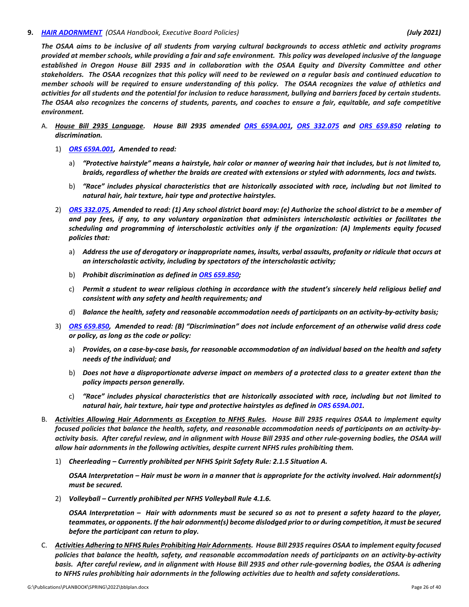#### **9.** *[HAIR ADORNMENT](https://www.osaa.org/governance/handbooks/osaa#_Toc456100372) (OSAA Handbook, Executive Board Policies) (July 2021)*

*The OSAA aims to be inclusive of all students from varying cultural backgrounds to access athletic and activity programs provided at member schools, while providing a fair and safe environment. This policy was developed inclusive of the language established in Oregon House Bill 2935 and in collaboration with the OSAA Equity and Diversity Committee and other stakeholders. The OSAA recognizes that this policy will need to be reviewed on a regular basis and continued education to member schools will be required to ensure understanding of this policy. The OSAA recognizes the value of athletics and activities for all students and the potential for inclusion to reduce harassment, bullying and barriers faced by certain students. The OSAA also recognizes the concerns of students, parents, and coaches to ensure a fair, equitable, and safe competitive environment.*

- A. *House Bill 2935 Language. House Bill 2935 amended [ORS 659A.001, ORS 332.075](https://www.oregonlegislature.gov/bills_laws/Pages/Oregon-Laws.aspx) and ORS 659.850 relating to discrimination.* 
	- 1) *[ORS 659A.001,](https://www.oregonlegislature.gov/bills_laws/Pages/Oregon-Laws.aspx) Amended to read:*
		- a) *"Protective hairstyle" means a hairstyle, hair color or manner of wearing hair that includes, but is not limited to, braids, regardless of whether the braids are created with extensions or styled with adornments, locs and twists.*
		- b) *"Race" includes physical characteristics that are historically associated with race, including but not limited to natural hair, hair texture, hair type and protective hairstyles.*
	- 2) *[ORS 332.075, A](https://www.oregonlegislature.gov/bills_laws/Pages/Oregon-Laws.aspx)mended to read: (1) Any school district board may: (e) Authorize the school district to be a member of and pay fees, if any, to any voluntary organization that administers interscholastic activities or facilitates the scheduling and programming of interscholastic activities only if the organization: (A) Implements equity focused policies that:*
		- a) *Address the use of derogatory or inappropriate names, insults, verbal assaults, profanity or ridicule that occurs at an interscholastic activity, including by spectators of the interscholastic activity;*
		- b) *Prohibit discrimination as defined i[n ORS 659.850;](https://www.oregonlegislature.gov/bills_laws/Pages/Oregon-Laws.aspx)*
		- c) *Permit a student to wear religious clothing in accordance with the student's sincerely held religious belief and consistent with any safety and health requirements; and*
		- d) *Balance the health, safety and reasonable accommodation needs of participants on an activity-by-activity basis;*
	- 3) *[ORS 659.850,](https://www.oregonlegislature.gov/bills_laws/Pages/Oregon-Laws.aspx) Amended to read: (B) "Discrimination" does not include enforcement of an otherwise valid dress code or policy, as long as the code or policy:*
		- a) *Provides, on a case-by-case basis, for reasonable accommodation of an individual based on the health and safety needs of the individual; and*
		- b) *Does not have a disproportionate adverse impact on members of a protected class to a greater extent than the policy impacts person generally.*
		- c) *"Race" includes physical characteristics that are historically associated with race, including but not limited to natural hair, hair texture, hair type and protective hairstyles as defined i[n ORS 659A.001.](https://www.oregonlegislature.gov/bills_laws/Pages/Oregon-Laws.aspx)*
- B. *Activities Allowing Hair Adornments as Exception to NFHS Rules. House Bill 2935 requires OSAA to implement equity focused policies that balance the health, safety, and reasonable accommodation needs of participants on an activity-byactivity basis. After careful review, and in alignment with House Bill 2935 and other rule-governing bodies, the OSAA will allow hair adornments in the following activities, despite current NFHS rules prohibiting them.*
	- 1) *Cheerleading – Currently prohibited per NFHS Spirit Safety Rule: 2.1.5 Situation A.*

*OSAA Interpretation – Hair must be worn in a manner that is appropriate for the activity involved. Hair adornment(s) must be secured.*

2) *Volleyball – Currently prohibited per NFHS Volleyball Rule 4.1.6.*

*OSAA Interpretation – Hair with adornments must be secured so as not to present a safety hazard to the player, teammates, or opponents. If the hair adornment(s) become dislodged prior to or during competition, it must be secured before the participant can return to play.*

C. *Activities Adhering to NFHS Rules Prohibiting Hair Adornments. House Bill 2935 requires OSAA to implement equity focused policies that balance the health, safety, and reasonable accommodation needs of participants on an activity-by-activity basis. After careful review, and in alignment with House Bill 2935 and other rule-governing bodies, the OSAA is adhering to NFHS rules prohibiting hair adornments in the following activities due to health and safety considerations.*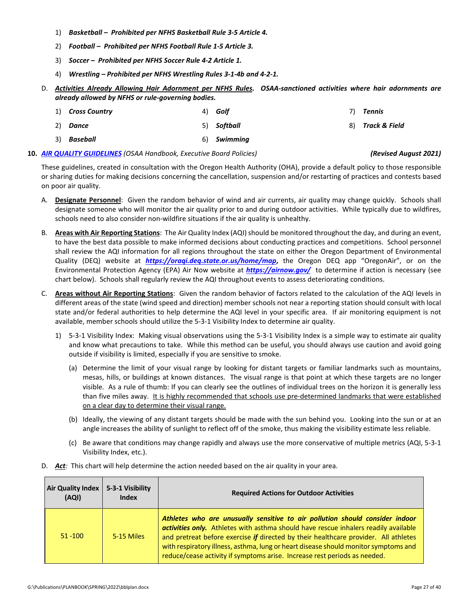- 1) *Basketball Prohibited per NFHS Basketball Rule 3-5 Article 4.*
- 2) *Football Prohibited per NFHS Football Rule 1-5 Article 3.*
- 3) *Soccer – Prohibited per NFHS Soccer Rule 4-2 Article 1.*
- 4) *Wrestling – Prohibited per NFHS Wrestling Rules 3-1-4b and 4-2-1.*
- D. *Activities Already Allowing Hair Adornment per NFHS Rules. OSAA-sanctioned activities where hair adornments are already allowed by NFHS or rule-governing bodies.*
	- 1) *Cross Country* 2) *Dance* 3) *Baseball* 4) *Golf* 5) *Softball* 6) *Swimming* 7) *Tennis* 8) *Track & Field*

# **10.** *[AIR QUALITY GUIDELINES](http://www.osaa.org/governance/handbooks/osaa#_Toc456100325) (OSAA Handbook, Executive Board Policies) (Revised August 2021)*

These guidelines, created in consultation with the Oregon Health Authority (OHA), provide a default policy to those responsible or sharing duties for making decisions concerning the cancellation, suspension and/or restarting of practices and contests based on poor air quality.

- A. **Designate Personnel**: Given the random behavior of wind and air currents, air quality may change quickly. Schools shall designate someone who will monitor the air quality prior to and during outdoor activities. While typically due to wildfires, schools need to also consider non-wildfire situations if the air quality is unhealthy.
- B. **Areas with Air Reporting Stations**: The Air Quality Index (AQI) should be monitored throughout the day, and during an event, to have the best data possible to make informed decisions about conducting practices and competitions. School personnel shall review the AQI information for all regions throughout the state on either the Oregon Department of Environmental Quality (DEQ) website at *<https://oraqi.deq.state.or.us/home/map>***,** the Oregon DEQ app "OregonAir", or on the Environmental Protection Agency (EPA) Air Now website at *<https://airnow.gov/>*to determine if action is necessary (see chart below). Schools shall regularly review the AQI throughout events to assess deteriorating conditions.
- C. **Areas without Air Reporting Stations**: Given the random behavior of factors related to the calculation of the AQI levels in different areas of the state (wind speed and direction) member schools not near a reporting station should consult with local state and/or federal authorities to help determine the AQI level in your specific area. If air monitoring equipment is not available, member schools should utilize the 5-3-1 Visibility Index to determine air quality.
	- 1) 5-3-1 Visibility Index: Making visual observations using the 5-3-1 Visibility Index is a simple way to estimate air quality and know what precautions to take. While this method can be useful, you should always use caution and avoid going outside if visibility is limited, especially if you are sensitive to smoke.
		- (a) Determine the limit of your visual range by looking for distant targets or familiar landmarks such as mountains, mesas, hills, or buildings at known distances. The visual range is that point at which these targets are no longer visible. As a rule of thumb: If you can clearly see the outlines of individual trees on the horizon it is generally less than five miles away. It is highly recommended that schools use pre-determined landmarks that were established on a clear day to determine their visual range.
		- (b) Ideally, the viewing of any distant targets should be made with the sun behind you. Looking into the sun or at an angle increases the ability of sunlight to reflect off of the smoke, thus making the visibility estimate less reliable.
		- (c) Be aware that conditions may change rapidly and always use the more conservative of multiple metrics (AQI, 5-3-1 Visibility Index, etc.).

| Air Quality Index  <br>(AQI) | 5-3-1 Visibility<br><b>Index</b> | <b>Required Actions for Outdoor Activities</b>                                                                                                                                                                                                                                                                                                                                                                                 |
|------------------------------|----------------------------------|--------------------------------------------------------------------------------------------------------------------------------------------------------------------------------------------------------------------------------------------------------------------------------------------------------------------------------------------------------------------------------------------------------------------------------|
| $51 - 100$                   | 5-15 Miles                       | Athletes who are unusually sensitive to air pollution should consider indoor<br>activities only. Athletes with asthma should have rescue inhalers readily available<br>and pretreat before exercise if directed by their healthcare provider. All athletes<br>with respiratory illness, asthma, lung or heart disease should monitor symptoms and<br>reduce/cease activity if symptoms arise. Increase rest periods as needed. |

D. *Act:* This chart will help determine the action needed based on the air quality in your area.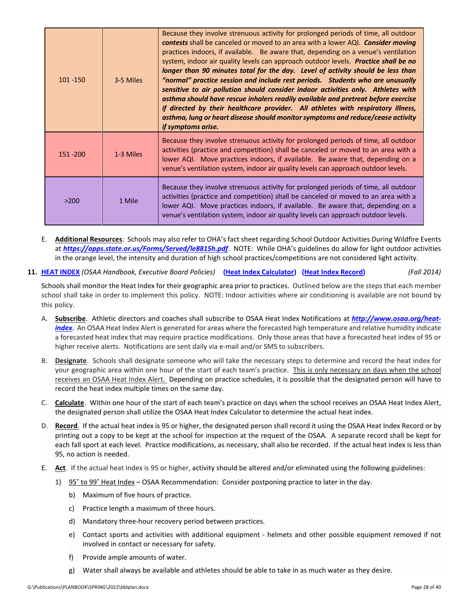| $101 - 150$ | 3-5 Miles | Because they involve strenuous activity for prolonged periods of time, all outdoor<br><b>contests</b> shall be canceled or moved to an area with a lower AQI. <b>Consider moving</b><br>practices indoors, if available. Be aware that, depending on a venue's ventilation<br>system, indoor air quality levels can approach outdoor levels. Practice shall be no<br>longer than 90 minutes total for the day. Level of activity should be less than<br>"normal" practice session and include rest periods. Students who are unusually<br>sensitive to air pollution should consider indoor activities only. Athletes with<br>asthma should have rescue inhalers readily available and pretreat before exercise<br>if directed by their healthcare provider. All athletes with respiratory illness,<br>asthma, lung or heart disease should monitor symptoms and reduce/cease activity<br>if symptoms arise. |
|-------------|-----------|--------------------------------------------------------------------------------------------------------------------------------------------------------------------------------------------------------------------------------------------------------------------------------------------------------------------------------------------------------------------------------------------------------------------------------------------------------------------------------------------------------------------------------------------------------------------------------------------------------------------------------------------------------------------------------------------------------------------------------------------------------------------------------------------------------------------------------------------------------------------------------------------------------------|
| 151 - 200   | 1-3 Miles | Because they involve strenuous activity for prolonged periods of time, all outdoor<br>activities (practice and competition) shall be canceled or moved to an area with a<br>lower AQI. Move practices indoors, if available. Be aware that, depending on a<br>venue's ventilation system, indoor air quality levels can approach outdoor levels.                                                                                                                                                                                                                                                                                                                                                                                                                                                                                                                                                             |
| >200        | 1 Mile    | Because they involve strenuous activity for prolonged periods of time, all outdoor<br>activities (practice and competition) shall be canceled or moved to an area with a<br>lower AQI. Move practices indoors, if available. Be aware that, depending on a<br>venue's ventilation system, indoor air quality levels can approach outdoor levels.                                                                                                                                                                                                                                                                                                                                                                                                                                                                                                                                                             |

- E. **Additional Resources**:Schools may also refer to OHA's fact sheet regarding School Outdoor Activities During Wildfire Events at *<https://apps.state.or.us/Forms/Served/le8815h.pdf>*. NOTE: While OHA's guidelines do allow for light outdoor activities in the orange level, the intensity and duration of high school practices/competitions are not considered light activity.
- **11. [HEAT INDEX](http://www.osaa.org/governance/handbooks/osaa#_Toc456100394)** *(OSAA Handbook, Executive Board Policies)* **[\(Heat Index Calculator\)](http://www.osaa.org/heat-index) [\(Heat Index Record\)](http://www.osaa.org/governance/forms)** *(Fall 2014)*

Schools shall monitor the Heat Index for their geographic area prior to practices. Outlined below are the steps that each member school shall take in order to implement this policy. NOTE: Indoor activities where air conditioning is available are not bound by this policy.

- A. **Subscribe**. Athletic directors and coaches shall subscribe to OSAA Heat Index Notifications at *http://www.osaa.org/heatindex*[. An OSAA Heat Index Alert is generated for areas where the forecasted high temperature and relative humidity indicate](http://www.osaa.org/heat-index) a forecasted heat index that may require practice modifications. Only those areas that have a forecasted heat index of 95 or higher receive alerts. Notifications are sent daily via e-mail and/or SMS to subscribers.
- B. **Designate**. Schools shall designate someone who will take the necessary steps to determine and record the heat index for your geographic area within one hour of the start of each team's practice. This is only necessary on days when the school receives an OSAA Heat Index Alert. Depending on practice schedules, it is possible that the designated person will have to record the heat index multiple times on the same day.
- C. **Calculate**. Within one hour of the start of each team's practice on days when the school receives an OSAA Heat Index Alert, the designated person shall utilize the OSAA Heat Index Calculator to determine the actual heat index.
- D. **Record**. If the actual heat index is 95 or higher, the designated person shall record it using the OSAA Heat Index Record or by printing out a copy to be kept at the school for inspection at the request of the OSAA. A separate record shall be kept for each fall sport at each level. Practice modifications, as necessary, shall also be recorded. If the actual heat index is less than 95, no action is needed.
- E. **Act**. If the actual heat index is 95 or higher, activity should be altered and/or eliminated using the following guidelines:
	- 1) 95˚ to 99˚ Heat Index OSAA Recommendation: Consider postponing practice to later in the day.
		- b) Maximum of five hours of practice.
		- c) Practice length a maximum of three hours.
		- d) Mandatory three-hour recovery period between practices.
		- e) Contact sports and activities with additional equipment helmets and other possible equipment removed if not involved in contact or necessary for safety.
		- f) Provide ample amounts of water.
		- g) Water shall always be available and athletes should be able to take in as much water as they desire.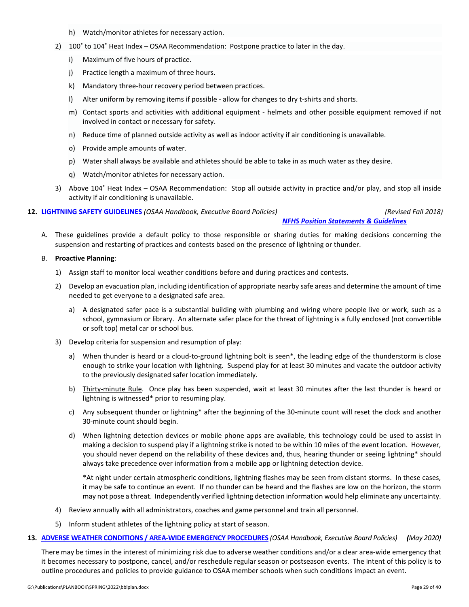- h) Watch/monitor athletes for necessary action.
- 2) 100° to 104° Heat Index OSAA Recommendation: Postpone practice to later in the day.
	- i) Maximum of five hours of practice.
	- j) Practice length a maximum of three hours.
	- k) Mandatory three-hour recovery period between practices.
	- l) Alter uniform by removing items if possible allow for changes to dry t-shirts and shorts.
	- m) Contact sports and activities with additional equipment helmets and other possible equipment removed if not involved in contact or necessary for safety.
	- n) Reduce time of planned outside activity as well as indoor activity if air conditioning is unavailable.
	- o) Provide ample amounts of water.
	- p) Water shall always be available and athletes should be able to take in as much water as they desire.
	- q) Watch/monitor athletes for necessary action.
- 3) Above 104˚ Heat Index OSAA Recommendation: Stop all outside activity in practice and/or play, and stop all inside activity if air conditioning is unavailable.

**12. [LIGHTNING SAFETY GUIDELINES](http://www.osaa.org/governance/handbooks/osaa#_Toc456100397)** *(OSAA Handbook, Executive Board Policies) (Revised Fall 2018)*

*[NFHS Position Statements & Guidelines](http://www.nfhs.org/sports-resource-content/nfhs-sports-medicine-position-statements-and-guidelines/)*

A. These guidelines provide a default policy to those responsible or sharing duties for making decisions concerning the suspension and restarting of practices and contests based on the presence of lightning or thunder.

#### B. **Proactive Planning**:

- 1) Assign staff to monitor local weather conditions before and during practices and contests.
- 2) Develop an evacuation plan, including identification of appropriate nearby safe areas and determine the amount of time needed to get everyone to a designated safe area.
	- a) A designated safer pace is a substantial building with plumbing and wiring where people live or work, such as a school, gymnasium or library. An alternate safer place for the threat of lightning is a fully enclosed (not convertible or soft top) metal car or school bus.
- 3) Develop criteria for suspension and resumption of play:
	- a) When thunder is heard or a cloud-to-ground lightning bolt is seen\*, the leading edge of the thunderstorm is close enough to strike your location with lightning. Suspend play for at least 30 minutes and vacate the outdoor activity to the previously designated safer location immediately.
	- b) Thirty-minute Rule. Once play has been suspended, wait at least 30 minutes after the last thunder is heard or lightning is witnessed\* prior to resuming play.
	- c) Any subsequent thunder or lightning\* after the beginning of the 30-minute count will reset the clock and another 30-minute count should begin.
	- d) When lightning detection devices or mobile phone apps are available, this technology could be used to assist in making a decision to suspend play if a lightning strike is noted to be within 10 miles of the event location. However, you should never depend on the reliability of these devices and, thus, hearing thunder or seeing lightning\* should always take precedence over information from a mobile app or lightning detection device.

\*At night under certain atmospheric conditions, lightning flashes may be seen from distant storms. In these cases, it may be safe to continue an event. If no thunder can be heard and the flashes are low on the horizon, the storm may not pose a threat. Independently verified lightning detection information would help eliminate any uncertainty.

- 4) Review annually with all administrators, coaches and game personnel and train all personnel.
- 5) Inform student athletes of the lightning policy at start of season.
- **13. [ADVERSE WEATHER CONDITIONS / AREA-WIDE EMERGENCY PROCEDURES](http://www.osaa.org/governance/handbooks/osaa#_Toc456100325)** *(OSAA Handbook, Executive Board Policies) (May 2020)*

There may be times in the interest of minimizing risk due to adverse weather conditions and/or a clear area-wide emergency that it becomes necessary to postpone, cancel, and/or reschedule regular season or postseason events. The intent of this policy is to outline procedures and policies to provide guidance to OSAA member schools when such conditions impact an event.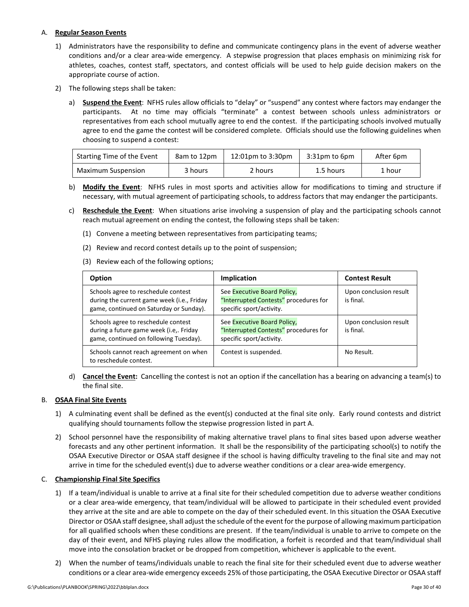# <span id="page-29-0"></span>A. **Regular Season Events**

- 1) Administrators have the responsibility to define and communicate contingency plans in the event of adverse weather conditions and/or a clear area-wide emergency. A stepwise progression that places emphasis on minimizing risk for athletes, coaches, contest staff, spectators, and contest officials will be used to help guide decision makers on the appropriate course of action.
- 2) The following steps shall be taken:
	- a) **Suspend the Event**:NFHS rules allow officials to "delay" or "suspend" any contest where factors may endanger the participants. At no time may officials "terminate" a contest between schools unless administrators or representatives from each school mutually agree to end the contest. If the participating schools involved mutually agree to end the game the contest will be considered complete. Officials should use the following guidelines when choosing to suspend a contest:

| Starting Time of the Event | 8am to 12pm | 12:01pm to 3:30pm |           | After 6pm |
|----------------------------|-------------|-------------------|-----------|-----------|
| Maximum Suspension         | 3 hours     | 2 hours           | 1.5 hours | 1 hour    |

- b) **Modify the Event**:NFHS rules in most sports and activities allow for modifications to timing and structure if necessary, with mutual agreement of participating schools, to address factors that may endanger the participants.
- c) **Reschedule the Event**:When situations arise involving a suspension of play and the participating schools cannot reach mutual agreement on ending the contest, the following steps shall be taken:
	- (1) Convene a meeting between representatives from participating teams;
	- (2) Review and record contest details up to the point of suspension;
	- (3) Review each of the following options;

| Option                                                                                                                       | Implication                                                                                      | <b>Contest Result</b>               |
|------------------------------------------------------------------------------------------------------------------------------|--------------------------------------------------------------------------------------------------|-------------------------------------|
| Schools agree to reschedule contest<br>during the current game week (i.e., Friday<br>game, continued on Saturday or Sunday). | See Executive Board Policy,<br>"Interrupted Contests" procedures for<br>specific sport/activity. | Upon conclusion result<br>is final. |
| Schools agree to reschedule contest<br>during a future game week (i.e,. Friday<br>game, continued on following Tuesday).     | See Executive Board Policy,<br>"Interrupted Contests" procedures for<br>specific sport/activity. | Upon conclusion result<br>is final. |
| Schools cannot reach agreement on when<br>to reschedule contest.                                                             | Contest is suspended.                                                                            | No Result.                          |

d) **Cancel the Event:**Cancelling the contest is not an option if the cancellation has a bearing on advancing a team(s) to the final site.

# B. **OSAA Final Site Events**

- 1) A culminating event shall be defined as the event(s) conducted at the final site only. Early round contests and district qualifying should tournaments follow the stepwise progression listed in part A.
- 2) School personnel have the responsibility of making alternative travel plans to final sites based upon adverse weather forecasts and any other pertinent information. It shall be the responsibility of the participating school(s) to notify the OSAA Executive Director or OSAA staff designee if the school is having difficulty traveling to the final site and may not arrive in time for the scheduled event(s) due to adverse weather conditions or a clear area-wide emergency.

### C. **Championship Final Site Specifics**

- 1) If a team/individual is unable to arrive at a final site for their scheduled competition due to adverse weather conditions or a clear area-wide emergency, that team/individual will be allowed to participate in their scheduled event provided they arrive at the site and are able to compete on the day of their scheduled event. In this situation the OSAA Executive Director or OSAA staff designee, shall adjust the schedule of the event for the purpose of allowing maximum participation for all qualified schools when these conditions are present. If the team/individual is unable to arrive to compete on the day of their event, and NFHS playing rules allow the modification, a forfeit is recorded and that team/individual shall move into the consolation bracket or be dropped from competition, whichever is applicable to the event.
- 2) When the number of teams/individuals unable to reach the final site for their scheduled event due to adverse weather conditions or a clear area-wide emergency exceeds 25% of those participating, the OSAA Executive Director or OSAA staff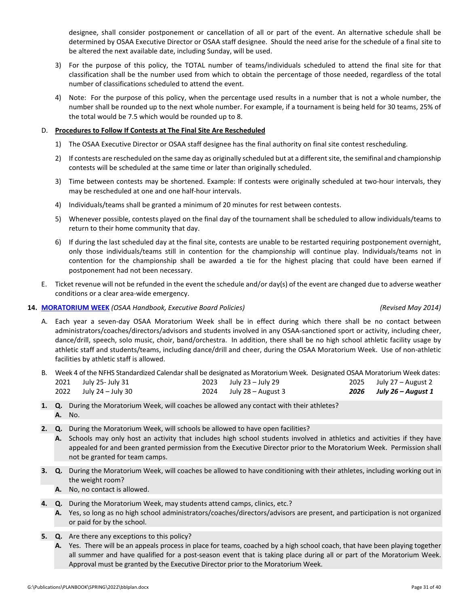designee, shall consider postponement or cancellation of all or part of the event. An alternative schedule shall be determined by OSAA Executive Director or OSAA staff designee. Should the need arise for the schedule of a final site to be altered the next available date, including Sunday, will be used.

- 3) For the purpose of this policy, the TOTAL number of teams/individuals scheduled to attend the final site for that classification shall be the number used from which to obtain the percentage of those needed, regardless of the total number of classifications scheduled to attend the event.
- 4) Note: For the purpose of this policy, when the percentage used results in a number that is not a whole number, the number shall be rounded up to the next whole number. For example, if a tournament is being held for 30 teams, 25% of the total would be 7.5 which would be rounded up to 8.

# D. **Procedures to Follow If Contests at The Final Site Are Rescheduled**

- 1) The OSAA Executive Director or OSAA staff designee has the final authority on final site contest rescheduling.
- 2) If contests are rescheduled on the same day as originally scheduled but at a different site, the semifinal and championship contests will be scheduled at the same time or later than originally scheduled.
- 3) Time between contests may be shortened. Example: If contests were originally scheduled at two-hour intervals, they may be rescheduled at one and one half-hour intervals.
- 4) Individuals/teams shall be granted a minimum of 20 minutes for rest between contests.
- 5) Whenever possible, contests played on the final day of the tournament shall be scheduled to allow individuals/teams to return to their home community that day.
- 6) If during the last scheduled day at the final site, contests are unable to be restarted requiring postponement overnight, only those individuals/teams still in contention for the championship will continue play. Individuals/teams not in contention for the championship shall be awarded a tie for the highest placing that could have been earned if postponement had not been necessary.
- E. Ticket revenue will not be refunded in the event the schedule and/or day(s) of the event are changed due to adverse weather conditions or a clear area-wide emergency.

## **14. [MORATORIUM WEEK](http://www.osaa.org/governance/handbooks/osaa#_Toc456100399)** *(OSAA Handbook, Executive Board Policies) (Revised May 2014)*

- A. Each year a seven-day OSAA Moratorium Week shall be in effect during which there shall be no contact between administrators/coaches/directors/advisors and students involved in any OSAA-sanctioned sport or activity, including cheer, dance/drill, speech, solo music, choir, band/orchestra. In addition, there shall be no high school athletic facility usage by athletic staff and students/teams, including dance/drill and cheer, during the OSAA Moratorium Week. Use of non-athletic facilities by athletic staff is allowed.
- B. Week 4 of the NFHS Standardized Calendar shall be designated as Moratorium Week.Designated OSAA Moratorium Week dates: 2021 July 25- July 31 2022 July 24 – July 30 2023 July 23 – July 29 2024 July 28 – August 3 2025 July 27 – August 2 *2026 July 26 – August 1*
- **1. Q.** During the Moratorium Week, will coaches be allowed any contact with their athletes? **A.** No.
- **2. Q.** During the Moratorium Week, will schools be allowed to have open facilities?
	- **A.** Schools may only host an activity that includes high school students involved in athletics and activities if they have appealed for and been granted permission from the Executive Director prior to the Moratorium Week. Permission shall not be granted for team camps.
- **3. Q.** During the Moratorium Week, will coaches be allowed to have conditioning with their athletes, including working out in the weight room?
	- **A.** No, no contact is allowed.
- **4. Q.** During the Moratorium Week, may students attend camps, clinics, etc.?
	- **A.** Yes, so long as no high school administrators/coaches/directors/advisors are present, and participation is not organized or paid for by the school.
- **5. Q.** Are there any exceptions to this policy?
	- **A.** Yes. There will be an appeals process in place for teams, coached by a high school coach, that have been playing together all summer and have qualified for a post-season event that is taking place during all or part of the Moratorium Week. Approval must be granted by the Executive Director prior to the Moratorium Week.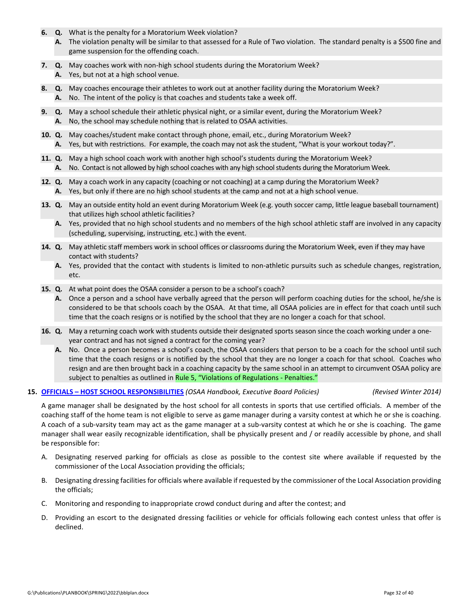- **6. Q.** What is the penalty for a Moratorium Week violation?
	- **A.** The violation penalty will be similar to that assessed for a Rule of Two violation. The standard penalty is a \$500 fine and game suspension for the offending coach.
- **7. Q.** May coaches work with non-high school students during the Moratorium Week? **A.** Yes, but not at a high school venue.
- **8. Q.** May coaches encourage their athletes to work out at another facility during the Moratorium Week? **A.** No. The intent of the policy is that coaches and students take a week off.
- **9. Q.** May a school schedule their athletic physical night, or a similar event, during the Moratorium Week? **A.** No, the school may schedule nothing that is related to OSAA activities.
- **10. Q.** May coaches/student make contact through phone, email, etc., during Moratorium Week?
	- **A.** Yes, but with restrictions. For example, the coach may not ask the student, "What is your workout today?".
- **11. Q.** May a high school coach work with another high school's students during the Moratorium Week? **A.** No. Contact is not allowed by high school coaches with any high school students during the Moratorium Week.
- **12. Q.** May a coach work in any capacity (coaching or not coaching) at a camp during the Moratorium Week? **A.** Yes, but only if there are no high school students at the camp and not at a high school venue.
- **13. Q.** May an outside entity hold an event during Moratorium Week (e.g. youth soccer camp, little league baseball tournament) that utilizes high school athletic facilities?
	- **A.** Yes, provided that no high school students and no members of the high school athletic staff are involved in any capacity (scheduling, supervising, instructing, etc.) with the event.
- **14. Q.** May athletic staff members work in school offices or classrooms during the Moratorium Week, even if they may have contact with students?
	- **A.** Yes, provided that the contact with students is limited to non-athletic pursuits such as schedule changes, registration, etc.
- **15. Q.** At what point does the OSAA consider a person to be a school's coach?
	- **A.** Once a person and a school have verbally agreed that the person will perform coaching duties for the school, he/she is considered to be that schools coach by the OSAA. At that time, all OSAA policies are in effect for that coach until such time that the coach resigns or is notified by the school that they are no longer a coach for that school.
- **16. Q.** May a returning coach work with students outside their designated sports season since the coach working under a oneyear contract and has not signed a contract for the coming year?
	- **A.** No. Once a person becomes a school's coach, the OSAA considers that person to be a coach for the school until such time that the coach resigns or is notified by the school that they are no longer a coach for that school. Coaches who resign and are then brought back in a coaching capacity by the same school in an attempt to circumvent OSAA policy are subject to penalties as outlined in [Rule 5, "Violations of Regulations -](http://www.osaa.org/governance/handbooks/osaa#_Toc456100268) Penalties."

### **15. OFFICIALS – [HOST SCHOOL RESPONSIBILITIES](http://www.osaa.org/governance/handbooks/osaa#_Toc456100410)** *(OSAA Handbook, Executive Board Policies) (Revised Winter 2014)*

A game manager shall be designated by the host school for all contests in sports that use certified officials. A member of the coaching staff of the home team is not eligible to serve as game manager during a varsity contest at which he or she is coaching. A coach of a sub-varsity team may act as the game manager at a sub-varsity contest at which he or she is coaching. The game manager shall wear easily recognizable identification, shall be physically present and / or readily accessible by phone, and shall be responsible for:

- A. Designating reserved parking for officials as close as possible to the contest site where available if requested by the commissioner of the Local Association providing the officials;
- B. Designating dressing facilities for officials where available if requested by the commissioner of the Local Association providing the officials;
- C. Monitoring and responding to inappropriate crowd conduct during and after the contest; and
- D. Providing an escort to the designated dressing facilities or vehicle for officials following each contest unless that offer is declined.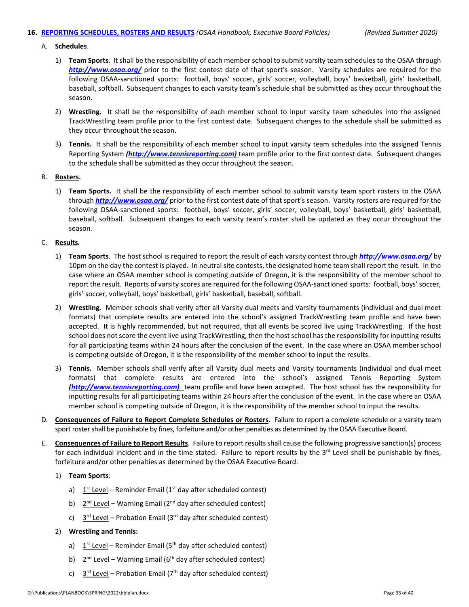### **16. [REPORTING SCHEDULES, ROSTERS](http://www.osaa.org/governance/handbooks/osaa#_Toc456100424) AND RESULTS** *(OSAA Handbook, Executive Board Policies) (Revised Summer 2020)*

### A. **Schedules**.

- 1) **Team Sports**. It shall be the responsibility of each member school to submit varsity team schedules to the OSAA through *<http://www.osaa.org/>* prior to the first contest date of that sport's season. Varsity schedules are required for the following OSAA-sanctioned sports: football, boys' soccer, girls' soccer, volleyball, boys' basketball, girls' basketball, baseball, softball. Subsequent changes to each varsity team's schedule shall be submitted as they occur throughout the season.
- 2) **Wrestling***.* It shall be the responsibility of each member school to input varsity team schedules into the assigned TrackWrestling team profile prior to the first contest date. Subsequent changes to the schedule shall be submitted as they occur throughout the season.
- 3) **Tennis***.* It shall be the responsibility of each member school to input varsity team schedules into the assigned Tennis Reporting System *[\(http://www.tennisreporting.com\)](http://www.tennisreporting.com)* team profile prior to the first contest date. Subsequent changes to the schedule shall be submitted as they occur throughout the season.

#### B. **Rosters.**

1) **Team Sports.** It shall be the responsibility of each member school to submit varsity team sport rosters to the OSAA through *<http://www.osaa.org/>* prior to the first contest date of that sport's season. Varsity rosters are required for the following OSAA-sanctioned sports: football, boys' soccer, girls' soccer, volleyball, boys' basketball, girls' basketball, baseball, softball. Subsequent changes to each varsity team's roster shall be updated as they occur throughout the season.

### C. **Results***.*

- 1) **Team Sports**. The host school is required to report the result of each varsity contest through *<http://www.osaa.org/>* by 10pm on the day the contest is played. In neutral site contests, the designated home team shall report the result. In the case where an OSAA member school is competing outside of Oregon, it is the responsibility of the member school to report the result. Reports of varsity scores are required for the following OSAA-sanctioned sports: football, boys' soccer, girls' soccer, volleyball, boys' basketball, girls' basketball, baseball, softball.
- 2) **Wrestling***.* Member schools shall verify after all Varsity dual meets and Varsity tournaments (individual and dual meet formats) that complete results are entered into the school's assigned TrackWrestling team profile and have been accepted. It is highly recommended, but not required, that all events be scored live using TrackWrestling. If the host school does not score the event live using TrackWrestling, then the host school has the responsibility for inputting results for all participating teams within 24 hours after the conclusion of the event. In the case where an OSAA member school is competing outside of Oregon, it is the responsibility of the member school to input the results.
- 3) **Tennis***.* Member schools shall verify after all Varsity dual meets and Varsity tournaments (individual and dual meet formats) that complete results are entered into the school's assigned Tennis Reporting System *[\(http://www.tennisreporting.com\)](http://www.tennisreporting.com)* team profile and have been accepted. The host school has the responsibility for inputting results for all participating teams within 24 hours after the conclusion of the event. In the case where an OSAA member school is competing outside of Oregon, it is the responsibility of the member school to input the results.
- D. **Consequences of Failure to Report Complete Schedules or Rosters**. Failure to report a complete schedule or a varsity team sport roster shall be punishable by fines, forfeiture and/or other penalties as determined by the OSAA Executive Board.
- E. **Consequences of Failure to Report Results**. Failure to report results shall cause the following progressive sanction(s) process for each individual incident and in the time stated. Failure to report results by the  $3<sup>rd</sup>$  Level shall be punishable by fines, forfeiture and/or other penalties as determined by the OSAA Executive Board.

### 1) **Team Sports**:

- a)  $1<sup>st</sup>$  Level Reminder Email (1<sup>st</sup> day after scheduled contest)
- b)  $2^{nd}$  Level Warning Email ( $2^{nd}$  day after scheduled contest)
- c)  $3^{rd}$  Level Probation Email (3<sup>rd</sup> day after scheduled contest)

### 2) **Wrestling and Tennis:**

- a)  $1^{st}$  Level Reminder Email (5<sup>th</sup> day after scheduled contest)
- b)  $2^{nd}$  Level Warning Email (6<sup>th</sup> day after scheduled contest)
- c)  $3<sup>rd</sup> Level Production Email (7<sup>th</sup> day after scheduled contest)$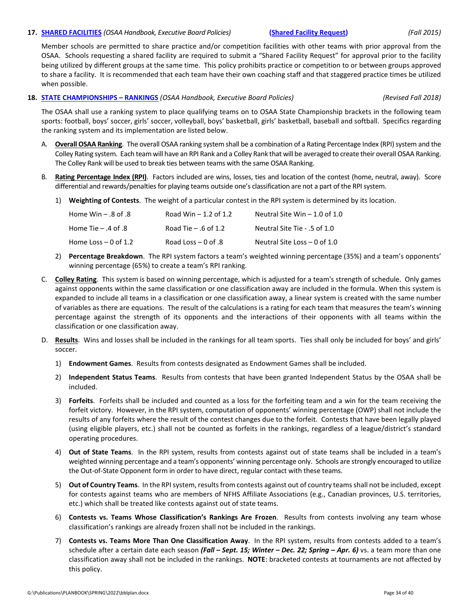#### **17. [SHARED FACILITIES](http://www.osaa.org/governance/handbooks/osaa#_Toc456100428)** *(OSAA Handbook, Executive Board Policies)* **[\(Shared Facility Request\)](http://www.osaa.org/governance/forms)** *(Fall 2015)*

# Member schools are permitted to share practice and/or competition facilities with other teams with prior approval from the OSAA. Schools requesting a shared facility are required to submit a "Shared Facility Request" for approval prior to the facility being utilized by different groups at the same time. This policy prohibits practice or competition to or between groups approved to share a facility. It is recommended that each team have their own coaching staff and that staggered practice times be utilized when possible.

#### **18. [STATE CHAMPIONSHIPS –](http://www.osaa.org/governance/handbooks/osaa#_Toc456100456) RANKINGS** *(OSAA Handbook, Executive Board Policies) (Revised Fall 2018)*

The OSAA shall use a ranking system to place qualifying teams on to OSAA State Championship brackets in the following team sports: football, boys' soccer, girls' soccer, volleyball, boys' basketball, girls' basketball, baseball and softball. Specifics regarding the ranking system and its implementation are listed below.

- A. **Overall OSAA Ranking**. The overall OSAA ranking system shall be a combination of a Rating Percentage Index (RPI) system and the Colley Rating system. Each team will have an RPI Rank and a Colley Rank that will be averaged to create their overall OSAA Ranking. The Colley Rank will be used to break ties between teams with the same OSAA Ranking.
- B. **Rating Percentage Index (RPI)**. Factors included are wins, losses, ties and location of the contest (home, neutral, away). Score differential and rewards/penalties for playing teams outside one's classification are not a part of the RPI system.
	- 1) **Weighting of Contests**. The weight of a particular contest in the RPI system is determined by its location.

| 8. Home Win – .8 of   | Road Win $-1.2$ of 1.2 | Neutral Site Win $-1.0$ of 1.0 |
|-----------------------|------------------------|--------------------------------|
| Home Tie – .4 of .8 . | Road Tie $-$ .6 of 1.2 | Neutral Site Tie - .5 of 1.0   |
| Home Loss – 0 of 1.2  | Road Loss $-0$ of .8   | Neutral Site Loss $-$ 0 of 1.0 |

- 2) **Percentage Breakdown**. The RPI system factors a team's weighted winning percentage (35%) and a team's opponents' winning percentage (65%) to create a team's RPI ranking.
- C. **Colley Rating**. This system is based on winning percentage, which is adjusted for a team's strength of schedule. Only games against opponents within the same classification or one classification away are included in the formula. When this system is expanded to include all teams in a classification or one classification away, a linear system is created with the same number of variables as there are equations. The result of the calculations is a rating for each team that measures the team's winning percentage against the strength of its opponents and the interactions of their opponents with all teams within the classification or one classification away.
- D. **Results**. Wins and losses shall be included in the rankings for all team sports. Ties shall only be included for boys' and girls' soccer.
	- 1) **Endowment Games**. Results from contests designated as Endowment Games shall be included.
	- 2) **Independent Status Teams**. Results from contests that have been granted Independent Status by the OSAA shall be included.
	- 3) **Forfeits**. Forfeits shall be included and counted as a loss for the forfeiting team and a win for the team receiving the forfeit victory. However, in the RPI system, computation of opponents' winning percentage (OWP) shall not include the results of any forfeits where the result of the contest changes due to the forfeit. Contests that have been legally played (using eligible players, etc.) shall not be counted as forfeits in the rankings, regardless of a league/district's standard operating procedures.
	- 4) **Out of State Teams**. In the RPI system, results from contests against out of state teams shall be included in a team's weighted winning percentage and a team's opponents' winning percentage only. Schools are strongly encouraged to utilize the Out-of-State Opponent form in order to have direct, regular contact with these teams.
	- 5) **Out of Country Teams**. In the RPI system, results from contests against out of country teams shall not be included, except for contests against teams who are members of NFHS Affiliate Associations (e.g., Canadian provinces, U.S. territories, etc.) which shall be treated like contests against out of state teams.
	- 6) **Contests vs. Teams Whose Classification's Rankings Are Frozen**. Results from contests involving any team whose classification's rankings are already frozen shall not be included in the rankings.
	- 7) **Contests vs. Teams More Than One Classification Away**. In the RPI system, results from contests added to a team's schedule after a certain date each season *(Fall – Sept. 15; Winter – Dec. 22; Spring – Apr. 6)* vs. a team more than one classification away shall not be included in the rankings. **NOTE**: bracketed contests at tournaments are not affected by this policy.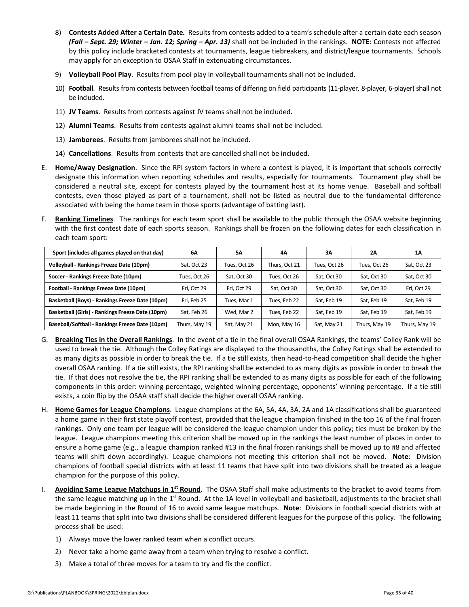- 8) **Contests Added After a Certain Date***.* Results from contests added to a team's schedule after a certain date each season *(Fall – Sept. 29; Winter – Jan. 12; Spring – Apr. 13)* shall not be included in the rankings. **NOTE**: Contests not affected by this policy include bracketed contests at tournaments, league tiebreakers, and district/league tournaments. Schools may apply for an exception to OSAA Staff in extenuating circumstances.
- 9) **Volleyball Pool Play**. Results from pool play in volleyball tournaments shall not be included.
- 10) **Football**. Results from contests between football teams of differing on field participants (11-player, 8-player, 6-player) shall not be included.
- 11) **JV Teams**. Results from contests against JV teams shall not be included.
- 12) **Alumni Teams**. Results from contests against alumni teams shall not be included.
- 13) **Jamborees**. Results from jamborees shall not be included.
- 14) **Cancellations**. Results from contests that are cancelled shall not be included.
- E. **Home/Away Designation**. Since the RPI system factors in where a contest is played, it is important that schools correctly designate this information when reporting schedules and results, especially for tournaments. Tournament play shall be considered a neutral site, except for contests played by the tournament host at its home venue. Baseball and softball contests, even those played as part of a tournament, shall not be listed as neutral due to the fundamental difference associated with being the home team in those sports (advantage of batting last).
- F. **Ranking Timelines**. The rankings for each team sport shall be available to the public through the OSAA website beginning with the first contest date of each sports season. Rankings shall be frozen on the following dates for each classification in each team sport:

| Sport (includes all games played on that day)    | <u>6A</u>     | <u>5Δ</u>    | <u>4Α</u>     | <u>3A</u>    | <u>2A</u>     | <u>1Δ</u>     |
|--------------------------------------------------|---------------|--------------|---------------|--------------|---------------|---------------|
| Volleyball - Rankings Freeze Date (10pm)         | Sat, Oct 23   | Tues, Oct 26 | Thurs, Oct 21 | Tues, Oct 26 | Tues, Oct 26  | Sat, Oct 23   |
| Soccer - Rankings Freeze Date (10pm)             | Tues, Oct 26  | Sat, Oct 30  | Tues, Oct 26  | Sat, Oct 30  | Sat, Oct 30   | Sat, Oct 30   |
| Football - Rankings Freeze Date (10pm)           | Fri, Oct 29   | Fri. Oct 29  | Sat, Oct 30   | Sat, Oct 30  | Sat, Oct 30   | Fri, Oct 29   |
| Basketball (Boys) - Rankings Freeze Date (10pm)  | Fri, Feb 25   | Tues, Mar 1  | Tues, Feb 22  | Sat, Feb 19  | Sat, Feb 19   | Sat, Feb 19   |
| Basketball (Girls) - Rankings Freeze Date (10pm) | Sat. Feb 26   | Wed, Mar 2   | Tues, Feb 22  | Sat, Feb 19  | Sat, Feb 19   | Sat, Feb 19   |
| Baseball/Softball - Rankings Freeze Date (10pm)  | Thurs, May 19 | Sat, May 21  | Mon, May 16   | Sat, May 21  | Thurs, May 19 | Thurs, May 19 |

- G. **Breaking Ties in the Overall Rankings**. In the event of a tie in the final overall OSAA Rankings, the teams' Colley Rank will be used to break the tie. Although the Colley Ratings are displayed to the thousandths, the Colley Ratings shall be extended to as many digits as possible in order to break the tie. If a tie still exists, then head-to-head competition shall decide the higher overall OSAA ranking. If a tie still exists, the RPI ranking shall be extended to as many digits as possible in order to break the tie. If that does not resolve the tie, the RPI ranking shall be extended to as many digits as possible for each of the following components in this order: winning percentage, weighted winning percentage, opponents' winning percentage. If a tie still exists, a coin flip by the OSAA staff shall decide the higher overall OSAA ranking.
- H. **Home Games for League Champions**. League champions at the 6A, 5A, 4A, 3A, 2A and 1A classifications shall be guaranteed a home game in their first state playoff contest, provided that the league champion finished in the top 16 of the final frozen rankings. Only one team per league will be considered the league champion under this policy; ties must be broken by the league. League champions meeting this criterion shall be moved up in the rankings the least number of places in order to ensure a home game (e.g., a league champion ranked #13 in the final frozen rankings shall be moved up to #8 and affected teams will shift down accordingly). League champions not meeting this criterion shall not be moved. **Note**: Division champions of football special districts with at least 11 teams that have split into two divisions shall be treated as a league champion for the purpose of this policy.
- I. Avoiding Same League Matchups in 1<sup>st</sup> Round. The OSAA Staff shall make adjustments to the bracket to avoid teams from the same league matching up in the 1<sup>st</sup> Round. At the 1A level in volleyball and basketball, adjustments to the bracket shall be made beginning in the Round of 16 to avoid same league matchups. **Note**: Divisions in football special districts with at least 11 teams that split into two divisions shall be considered different leagues for the purpose of this policy. The following process shall be used:
	- 1) Always move the lower ranked team when a conflict occurs.
	- 2) Never take a home game away from a team when trying to resolve a conflict.
	- 3) Make a total of three moves for a team to try and fix the conflict.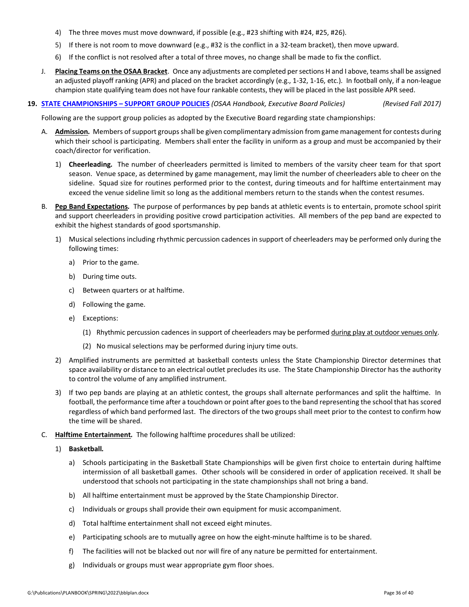- 4) The three moves must move downward, if possible (e.g., #23 shifting with #24, #25, #26).
- 5) If there is not room to move downward (e.g., #32 is the conflict in a 32-team bracket), then move upward.
- 6) If the conflict is not resolved after a total of three moves, no change shall be made to fix the conflict.
- J. **Placing Teams on the OSAA Bracket**. Once any adjustments are completed per sections H and I above, teams shall be assigned an adjusted playoff ranking (APR) and placed on the bracket accordingly (e.g., 1-32, 1-16, etc.). In football only, if a non-league champion state qualifying team does not have four rankable contests, they will be placed in the last possible APR seed.
- **19. STATE CHAMPIONSHIPS – [SUPPORT GROUP POLICIES](http://www.osaa.org/governance/handbooks/osaa#_Toc456100458)** *(OSAA Handbook, Executive Board Policies) (Revised Fall 2017)*

Following are the support group policies as adopted by the Executive Board regarding state championships:

- A. **Admission***.* Members of support groups shall be given complimentary admission from game management for contests during which their school is participating. Members shall enter the facility in uniform as a group and must be accompanied by their coach/director for verification.
	- 1) **Cheerleading***.* The number of cheerleaders permitted is limited to members of the varsity cheer team for that sport season. Venue space, as determined by game management, may limit the number of cheerleaders able to cheer on the sideline. Squad size for routines performed prior to the contest, during timeouts and for halftime entertainment may exceed the venue sideline limit so long as the additional members return to the stands when the contest resumes.
- B. **Pep Band Expectations***.* The purpose of performances by pep bands at athletic events is to entertain, promote school spirit and support cheerleaders in providing positive crowd participation activities. All members of the pep band are expected to exhibit the highest standards of good sportsmanship.
	- 1) Musical selections including rhythmic percussion cadences in support of cheerleaders may be performed only during the following times:
		- a) Prior to the game.
		- b) During time outs.
		- c) Between quarters or at halftime.
		- d) Following the game.
		- e) Exceptions:
			- (1) Rhythmic percussion cadences in support of cheerleaders may be performed during play at outdoor venues only.
			- (2) No musical selections may be performed during injury time outs.
	- 2) Amplified instruments are permitted at basketball contests unless the State Championship Director determines that space availability or distance to an electrical outlet precludes its use. The State Championship Director has the authority to control the volume of any amplified instrument.
	- 3) If two pep bands are playing at an athletic contest, the groups shall alternate performances and split the halftime. In football, the performance time after a touchdown or point after goes to the band representing the school that has scored regardless of which band performed last. The directors of the two groups shall meet prior to the contest to confirm how the time will be shared.
- C. **Halftime Entertainment***.* The following halftime procedures shall be utilized:
	- 1) **Basketball***.*
		- a) Schools participating in the Basketball State Championships will be given first choice to entertain during halftime intermission of all basketball games. Other schools will be considered in order of application received. It shall be understood that schools not participating in the state championships shall not bring a band.
		- b) All halftime entertainment must be approved by the State Championship Director.
		- c) Individuals or groups shall provide their own equipment for music accompaniment.
		- d) Total halftime entertainment shall not exceed eight minutes.
		- e) Participating schools are to mutually agree on how the eight-minute halftime is to be shared.
		- f) The facilities will not be blacked out nor will fire of any nature be permitted for entertainment.
		- g) Individuals or groups must wear appropriate gym floor shoes.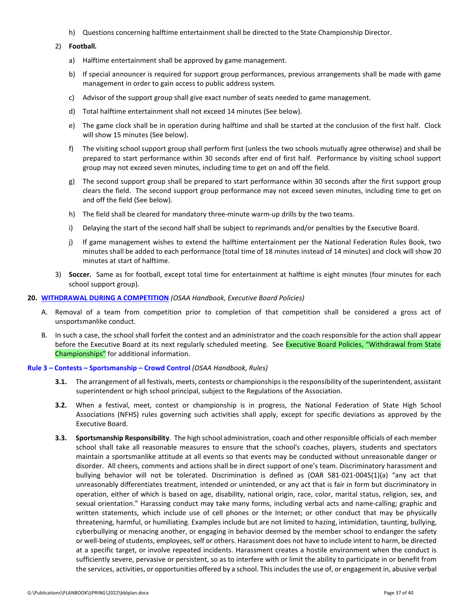h) Questions concerning halftime entertainment shall be directed to the State Championship Director.

#### 2) **Football***.*

- a) Halftime entertainment shall be approved by game management.
- b) If special announcer is required for support group performances, previous arrangements shall be made with game management in order to gain access to public address system.
- c) Advisor of the support group shall give exact number of seats needed to game management.
- d) Total halftime entertainment shall not exceed 14 minutes (See below).
- e) The game clock shall be in operation during halftime and shall be started at the conclusion of the first half. Clock will show 15 minutes (See below).
- f) The visiting school support group shall perform first (unless the two schools mutually agree otherwise) and shall be prepared to start performance within 30 seconds after end of first half. Performance by visiting school support group may not exceed seven minutes, including time to get on and off the field.
- g) The second support group shall be prepared to start performance within 30 seconds after the first support group clears the field. The second support group performance may not exceed seven minutes, including time to get on and off the field (See below).
- h) The field shall be cleared for mandatory three-minute warm-up drills by the two teams.
- i) Delaying the start of the second half shall be subject to reprimands and/or penalties by the Executive Board.
- j) If game management wishes to extend the halftime entertainment per the National Federation Rules Book, two minutes shall be added to each performance (total time of 18 minutes instead of 14 minutes) and clock will show 20 minutes at start of halftime.
- 3) **Soccer***.* Same as for football, except total time for entertainment at halftime is eight minutes (four minutes for each school support group).

#### **20. [WITHDRAWAL DURING A COMPETITION](http://www.osaa.org/governance/handbooks/osaa#_Toc456100494)** *(OSAA Handbook, Executive Board Policies)*

- A. Removal of a team from competition prior to completion of that competition shall be considered a gross act of unsportsmanlike conduct.
- B. In such a case, the school shall forfeit the contest and an administrator and the coach responsible for the action shall appear before the Executive Board at its next regularly scheduled meeting. See Executive Board Policies, "Withdrawal from State Championships" for additional information.

#### **Rule 3 – Contests – [Sportsmanship –](http://www.osaa.org/governance/handbooks/osaa#_Toc456100266) Crowd Control** *(OSAA Handbook, Rules)*

- **3.1.** The arrangement of all festivals, meets, contests or championships is the responsibility of the superintendent, assistant superintendent or high school principal, subject to the Regulations of the Association.
- **3.2.** When a festival, meet, contest or championship is in progress, the National Federation of State High School Associations (NFHS) rules governing such activities shall apply, except for specific deviations as approved by the Executive Board.
- **3.3. Sportsmanship Responsibility**. The high school administration, coach and other responsible officials of each member school shall take all reasonable measures to ensure that the school's coaches, players, students and spectators maintain a sportsmanlike attitude at all events so that events may be conducted without unreasonable danger or disorder. All cheers, comments and actions shall be in direct support of one's team. Discriminatory harassment and bullying behavior will not be tolerated. Discrimination is defined as (OAR 581-021-0045(1)(a) "any act that unreasonably differentiates treatment, intended or unintended, or any act that is fair in form but discriminatory in operation, either of which is based on age, disability, national origin, race, color, marital status, religion, sex, and sexual orientation." Harassing conduct may take many forms, including verbal acts and name-calling; graphic and written statements, which include use of cell phones or the Internet; or other conduct that may be physically threatening, harmful, or humiliating. Examples include but are not limited to hazing, intimidation, taunting, bullying, cyberbullying or menacing another, or engaging in behavior deemed by the member school to endanger the safety or well-being of students, employees, self or others. Harassment does not have to include intent to harm, be directed at a specific target, or involve repeated incidents. Harassment creates a hostile environment when the conduct is sufficiently severe, pervasive or persistent, so as to interfere with or limit the ability to participate in or benefit from the services, activities, or opportunities offered by a school. This includes the use of, or engagement in, abusive verbal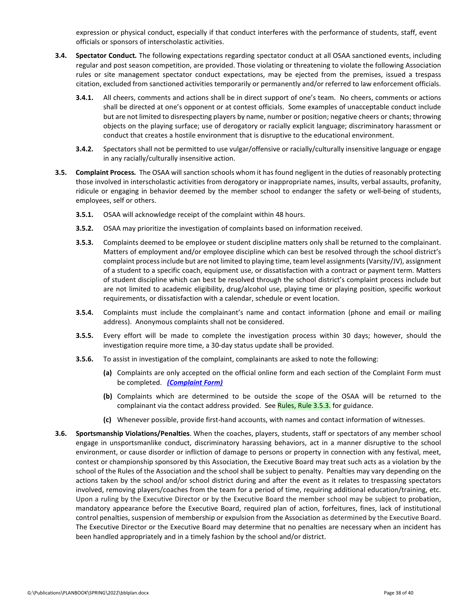expression or physical conduct, especially if that conduct interferes with the performance of students, staff, event officials or sponsors of interscholastic activities.

- **3.4. Spectator Conduct***.* The following expectations regarding spectator conduct at all OSAA sanctioned events, including regular and post season competition, are provided. Those violating or threatening to violate the following Association rules or site management spectator conduct expectations, may be ejected from the premises, issued a trespass citation, excluded from sanctioned activities temporarily or permanently and/or referred to law enforcement officials.
	- **3.4.1.** All cheers, comments and actions shall be in direct support of one's team. No cheers, comments or actions shall be directed at one's opponent or at contest officials. Some examples of unacceptable conduct include but are not limited to disrespecting players by name, number or position; negative cheers or chants; throwing objects on the playing surface; use of derogatory or racially explicit language; discriminatory harassment or conduct that creates a hostile environment that is disruptive to the educational environment.
	- **3.4.2.** Spectators shall not be permitted to use vulgar/offensive or racially/culturally insensitive language or engage in any racially/culturally insensitive action.
- **3.5. Complaint Process***.* The OSAA will sanction schools whom it has found negligent in the duties of reasonably protecting those involved in interscholastic activities from derogatory or inappropriate names, insults, verbal assaults, profanity, ridicule or engaging in behavior deemed by the member school to endanger the safety or well-being of students, employees, self or others.
	- **3.5.1.** OSAA will acknowledge receipt of the complaint within 48 hours.
	- **3.5.2.** OSAA may prioritize the investigation of complaints based on information received.
	- **3.5.3.** Complaints deemed to be employee or student discipline matters only shall be returned to the complainant. Matters of employment and/or employee discipline which can best be resolved through the school district's complaint process include but are not limited to playing time, team level assignments (Varsity/JV), assignment of a student to a specific coach, equipment use, or dissatisfaction with a contract or payment term. Matters of student discipline which can best be resolved through the school district's complaint process include but are not limited to academic eligibility, drug/alcohol use, playing time or playing position, specific workout requirements, or dissatisfaction with a calendar, schedule or event location.
	- **3.5.4.** Complaints must include the complainant's name and contact information (phone and email or mailing address). Anonymous complaints shall not be considered.
	- **3.5.5.** Every effort will be made to complete the investigation process within 30 days; however, should the investigation require more time, a 30-day status update shall be provided.
	- **3.5.6.** To assist in investigation of the complaint, complainants are asked to note the following:
		- **(a)** Complaints are only accepted on the official online form and each section of the Complaint Form must be completed. *[\(Complaint Form\)](http://www.osaa.org/forms/complaint)*
		- **(b)** Complaints which are determined to be outside the scope of the OSAA will be returned to the complainant via the contact address provided. See [Rules, Rule 3.5.3.](http://www.osaa.org/governance/handbooks/osaa#_Toc456100266) for guidance.
		- **(c)** Whenever possible, provide first-hand accounts, with names and contact information of witnesses.
- **3.6. Sportsmanship Violations/Penalties**. When the coaches, players, students, staff or spectators of any member school engage in unsportsmanlike conduct, discriminatory harassing behaviors, act in a manner disruptive to the school environment, or cause disorder or infliction of damage to persons or property in connection with any festival, meet, contest or championship sponsored by this Association, the Executive Board may treat such acts as a violation by the school of the Rules of the Association and the school shall be subject to penalty. Penalties may vary depending on the actions taken by the school and/or school district during and after the event as it relates to trespassing spectators involved, removing players/coaches from the team for a period of time, requiring additional education/training, etc. Upon a ruling by the Executive Director or by the Executive Board the member school may be subject to probation, mandatory appearance before the Executive Board, required plan of action, forfeitures, fines, lack of institutional control penalties, suspension of membership or expulsion from the Association as determined by the Executive Board. The Executive Director or the Executive Board may determine that no penalties are necessary when an incident has been handled appropriately and in a timely fashion by the school and/or district.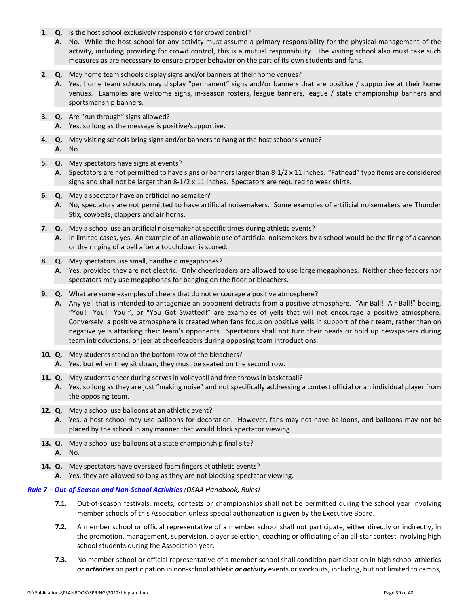- **1. Q.** Is the host school exclusively responsible for crowd control?
	- **A.** No. While the host school for any activity must assume a primary responsibility for the physical management of the activity, including providing for crowd control, this is a mutual responsibility. The visiting school also must take such measures as are necessary to ensure proper behavior on the part of its own students and fans.
- **2. Q.** May home team schools display signs and/or banners at their home venues?
	- **A.** Yes, home team schools may display "permanent" signs and/or banners that are positive / supportive at their home venues. Examples are welcome signs, in-season rosters, league banners, league / state championship banners and sportsmanship banners.
- **3. Q.** Are "run through" signs allowed?
	- **A.** Yes, so long as the message is positive/supportive.
- **4. Q.** May visiting schools bring signs and/or banners to hang at the host school's venue? **A.** No.
- **5. Q.** May spectators have signs at events?

**A.** Spectators are not permitted to have signs or banners larger than 8-1/2 x 11 inches. "Fathead" type items are considered signs and shall not be larger than  $8-1/2 \times 11$  inches. Spectators are required to wear shirts.

- **6. Q.** May a spectator have an artificial noisemaker?
	- **A.** No, spectators are not permitted to have artificial noisemakers. Some examples of artificial noisemakers are Thunder Stix, cowbells, clappers and air horns.
- **7. Q.** May a school use an artificial noisemaker at specific times during athletic events? **A.** In limited cases, yes. An example of an allowable use of artificial noisemakers by a school would be the firing of a cannon or the ringing of a bell after a touchdown is scored.
- **8. Q.** May spectators use small, handheld megaphones?
	- **A.** Yes, provided they are not electric. Only cheerleaders are allowed to use large megaphones. Neither cheerleaders nor spectators may use megaphones for banging on the floor or bleachers.
- **9. Q.** What are some examples of cheers that do not encourage a positive atmosphere?
	- **A.** Any yell that is intended to antagonize an opponent detracts from a positive atmosphere. "Air Ball! Air Ball!" booing, "You! You! You!", or "You Got Swatted!" are examples of yells that will not encourage a positive atmosphere. Conversely, a positive atmosphere is created when fans focus on positive yells in support of their team, rather than on negative yells attacking their team's opponents. Spectators shall not turn their heads or hold up newspapers during team introductions, or jeer at cheerleaders during opposing team introductions.
- **10. Q.** May students stand on the bottom row of the bleachers?
- **A.** Yes, but when they sit down, they must be seated on the second row.
- **11. Q.** May students cheer during serves in volleyball and free throws in basketball?
	- **A.** Yes, so long as they are just "making noise" and not specifically addressing a contest official or an individual player from the opposing team.
- **12. Q.** May a school use balloons at an athletic event?
	- **A.** Yes, a host school may use balloons for decoration. However, fans may not have balloons, and balloons may not be placed by the school in any manner that would block spectator viewing.
- **13. Q.** May a school use balloons at a state championship final site? **A.** No.
- **14. Q.** May spectators have oversized foam fingers at athletic events?
	- **A.** Yes, they are allowed so long as they are not blocking spectator viewing.

### *Rule 7 – [Out-of-Season and Non-School Activities](http://www.osaa.org/governance/handbooks/osaa#_Toc456100270) (OSAA Handbook, Rules)*

- **7.1.** Out-of-season festivals, meets, contests or championships shall not be permitted during the school year involving member schools of this Association unless special authorization is given by the Executive Board.
- **7.2.** A member school or official representative of a member school shall not participate, either directly or indirectly, in the promotion, management, supervision, player selection, coaching or officiating of an all-star contest involving high school students during the Association year.
- **7.3.** No member school or official representative of a member school shall condition participation in high school athletics *or activities* on participation in non-school athletic *or activity* events or workouts, including, but not limited to camps,